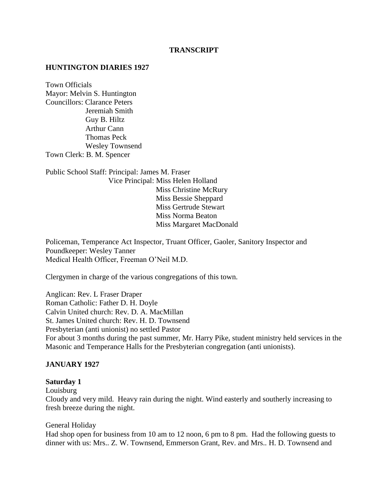#### **TRANSCRIPT**

#### **HUNTINGTON DIARIES 1927**

Town Officials Mayor: Melvin S. Huntington Councillors: Clarance Peters Jeremiah Smith Guy B. Hiltz Arthur Cann Thomas Peck Wesley Townsend Town Clerk: B. M. Spencer

Public School Staff: Principal: James M. Fraser Vice Principal: Miss Helen Holland Miss Christine McRury Miss Bessie Sheppard Miss Gertrude Stewart Miss Norma Beaton Miss Margaret MacDonald

Policeman, Temperance Act Inspector, Truant Officer, Gaoler, Sanitory Inspector and Poundkeeper: Wesley Tanner Medical Health Officer, Freeman O'Neil M.D.

Clergymen in charge of the various congregations of this town.

Anglican: Rev. L Fraser Draper Roman Catholic: Father D. H. Doyle Calvin United church: Rev. D. A. MacMillan St. James United church: Rev. H. D. Townsend Presbyterian (anti unionist) no settled Pastor For about 3 months during the past summer, Mr. Harry Pike, student ministry held services in the Masonic and Temperance Halls for the Presbyterian congregation (anti unionists).

#### **JANUARY 1927**

#### **Saturday 1**

Louisburg

Cloudy and very mild. Heavy rain during the night. Wind easterly and southerly increasing to fresh breeze during the night.

#### General Holiday

Had shop open for business from 10 am to 12 noon, 6 pm to 8 pm. Had the following guests to dinner with us: Mrs.. Z. W. Townsend, Emmerson Grant, Rev. and Mrs.. H. D. Townsend and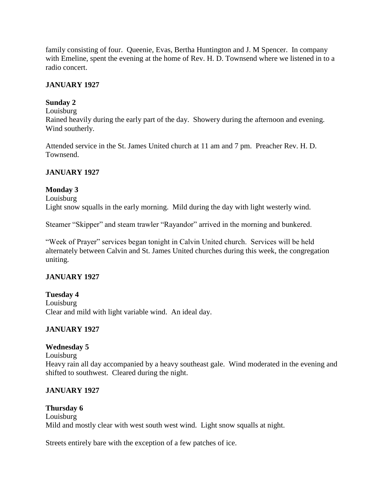family consisting of four. Queenie, Evas, Bertha Huntington and J. M Spencer. In company with Emeline, spent the evening at the home of Rev. H. D. Townsend where we listened in to a radio concert.

## **JANUARY 1927**

## **Sunday 2**

#### Louisburg

Rained heavily during the early part of the day. Showery during the afternoon and evening. Wind southerly.

Attended service in the St. James United church at 11 am and 7 pm. Preacher Rev. H. D. Townsend.

## **JANUARY 1927**

## **Monday 3**

Louisburg Light snow squalls in the early morning. Mild during the day with light westerly wind.

Steamer "Skipper" and steam trawler "Rayandor" arrived in the morning and bunkered.

"Week of Prayer" services began tonight in Calvin United church. Services will be held alternately between Calvin and St. James United churches during this week, the congregation uniting.

## **JANUARY 1927**

## **Tuesday 4** Louisburg Clear and mild with light variable wind. An ideal day.

## **JANUARY 1927**

## **Wednesday 5**

Louisburg

Heavy rain all day accompanied by a heavy southeast gale. Wind moderated in the evening and shifted to southwest. Cleared during the night.

## **JANUARY 1927**

#### **Thursday 6** Louisburg Mild and mostly clear with west south west wind. Light snow squalls at night.

Streets entirely bare with the exception of a few patches of ice.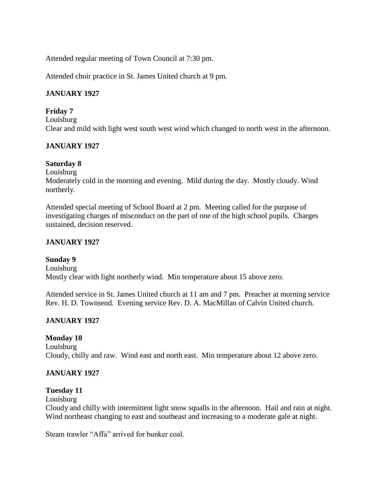Attended regular meeting of Town Council at 7:30 pm.

Attended choir practice in St. James United church at 9 pm.

## **JANUARY 1927**

#### **Friday 7**

Louisburg Clear and mild with light west south west wind which changed to north west in the afternoon.

## **JANUARY 1927**

## **Saturday 8**

Louisburg

Moderately cold in the morning and evening. Mild during the day. Mostly cloudy. Wind northerly.

Attended special meeting of School Board at 2 pm. Meeting called for the purpose of investigating charges of misconduct on the part of one of the high school pupils. Charges sustained, decision reserved.

## **JANUARY 1927**

## **Sunday 9**

Louisburg Mostly clear with light northerly wind. Min temperature about 15 above zero.

Attended service in St. James United church at 11 am and 7 pm. Preacher at morning service Rev. H. D. Townsend. Evening service Rev. D. A. MacMillan of Calvin United church.

## **JANUARY 1927**

## **Monday 10**

Louisburg Cloudy, chilly and raw. Wind east and north east. Min temperature about 12 above zero.

## **JANUARY 1927**

## **Tuesday 11**

Louisburg

Cloudy and chilly with intermittent light snow squalls in the afternoon. Hail and rain at night. Wind northeast changing to east and southeast and increasing to a moderate gale at night.

Steam trawler "Affa" arrived for bunker coal.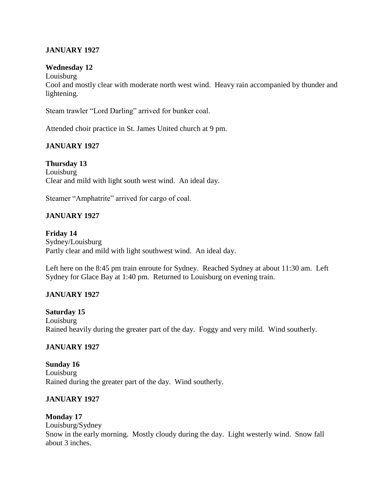## **JANUARY 1927**

#### **Wednesday 12**

Louisburg Cool and mostly clear with moderate north west wind. Heavy rain accompanied by thunder and lightening.

Steam trawler "Lord Darling" arrived for bunker coal.

Attended choir practice in St. James United church at 9 pm.

## **JANUARY 1927**

**Thursday 13** Louisburg Clear and mild with light south west wind. An ideal day.

Steamer "Amphatrite" arrived for cargo of coal.

## **JANUARY 1927**

**Friday 14** Sydney/Louisburg Partly clear and mild with light southwest wind. An ideal day.

Left here on the 8:45 pm train enroute for Sydney. Reached Sydney at about 11:30 am. Left Sydney for Glace Bay at 1:40 pm. Returned to Louisburg on evening train.

## **JANUARY 1927**

**Saturday 15** Louisburg Rained heavily during the greater part of the day. Foggy and very mild. Wind southerly.

#### **JANUARY 1927**

**Sunday 16** Louisburg Rained during the greater part of the day. Wind southerly.

#### **JANUARY 1927**

#### **Monday 17**

Louisburg/Sydney Snow in the early morning. Mostly cloudy during the day. Light westerly wind. Snow fall about 3 inches.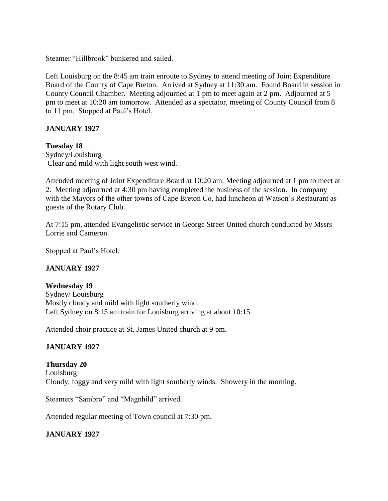Steamer "Hillbrook" bunkered and sailed.

Left Louisburg on the 8:45 am train enroute to Sydney to attend meeting of Joint Expenditure Board of the County of Cape Breton. Arrived at Sydney at 11:30 am. Found Board in session in County Council Chamber. Meeting adjourned at 1 pm to meet again at 2 pm. Adjourned at 5 pm to meet at 10:20 am tomorrow. Attended as a spectator, meeting of County Council from 8 to 11 pm. Stopped at Paul's Hotel.

## **JANUARY 1927**

## **Tuesday 18**

Sydney/Louisburg Clear and mild with light south west wind.

Attended meeting of Joint Expenditure Board at 10:20 am. Meeting adjourned at 1 pm to meet at 2. Meeting adjourned at 4:30 pm having completed the business of the session. In company with the Mayors of the other towns of Cape Breton Co, had luncheon at Watson's Restaurant as guests of the Rotary Club.

At 7:15 pm, attended Evangelistic service in George Street United church conducted by Mssrs Lorrie and Cameron.

Stopped at Paul's Hotel.

## **JANUARY 1927**

## **Wednesday 19**

Sydney/ Louisburg Mostly cloudy and mild with light southerly wind. Left Sydney on 8:15 am train for Louisburg arriving at about 10:15.

Attended choir practice at St. James United church at 9 pm.

## **JANUARY 1927**

**Thursday 20** Louisburg Cloudy, foggy and very mild with light southerly winds. Showery in the morning.

Steamers "Sambro" and "Magnhild" arrived.

Attended regular meeting of Town council at 7:30 pm.

## **JANUARY 1927**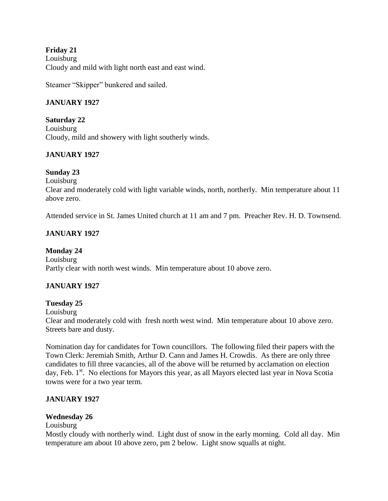## **Friday 21** Louisburg Cloudy and mild with light north east and east wind.

Steamer "Skipper" bunkered and sailed.

## **JANUARY 1927**

**Saturday 22** Louisburg Cloudy, mild and showery with light southerly winds.

## **JANUARY 1927**

## **Sunday 23**

Louisburg

Clear and moderately cold with light variable winds, north, northerly. Min temperature about 11 above zero.

Attended service in St. James United church at 11 am and 7 pm. Preacher Rev. H. D. Townsend.

## **JANUARY 1927**

**Monday 24** Louisburg Partly clear with north west winds. Min temperature about 10 above zero.

## **JANUARY 1927**

## **Tuesday 25**

Louisburg

Clear and moderately cold with fresh north west wind. Min temperature about 10 above zero. Streets bare and dusty.

Nomination day for candidates for Town councillors. The following filed their papers with the Town Clerk: Jeremiah Smith, Arthur D. Cann and James H. Crowdis. As there are only three candidates to fill three vacancies, all of the above will be returned by acclamation on election day, Feb. 1<sup>st</sup>. No elections for Mayors this year, as all Mayors elected last year in Nova Scotia towns were for a two year term.

## **JANUARY 1927**

## **Wednesday 26**

## Louisburg

Mostly cloudy with northerly wind. Light dust of snow in the early morning. Cold all day. Min temperature am about 10 above zero, pm 2 below. Light snow squalls at night.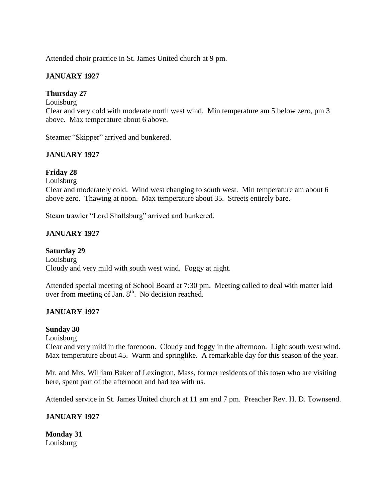Attended choir practice in St. James United church at 9 pm.

## **JANUARY 1927**

## **Thursday 27**

#### Louisburg

Clear and very cold with moderate north west wind. Min temperature am 5 below zero, pm 3 above. Max temperature about 6 above.

Steamer "Skipper" arrived and bunkered.

## **JANUARY 1927**

## **Friday 28**

Louisburg

Clear and moderately cold. Wind west changing to south west. Min temperature am about 6 above zero. Thawing at noon. Max temperature about 35. Streets entirely bare.

Steam trawler "Lord Shaftsburg" arrived and bunkered.

## **JANUARY 1927**

**Saturday 29** Louisburg Cloudy and very mild with south west wind. Foggy at night.

Attended special meeting of School Board at 7:30 pm. Meeting called to deal with matter laid over from meeting of Jan.  $8<sup>th</sup>$ . No decision reached.

## **JANUARY 1927**

#### **Sunday 30**

Louisburg

Clear and very mild in the forenoon. Cloudy and foggy in the afternoon. Light south west wind. Max temperature about 45. Warm and springlike. A remarkable day for this season of the year.

Mr. and Mrs. William Baker of Lexington, Mass, former residents of this town who are visiting here, spent part of the afternoon and had tea with us.

Attended service in St. James United church at 11 am and 7 pm. Preacher Rev. H. D. Townsend.

## **JANUARY 1927**

**Monday 31** Louisburg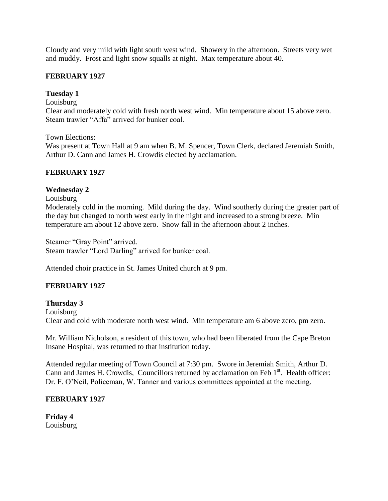Cloudy and very mild with light south west wind. Showery in the afternoon. Streets very wet and muddy. Frost and light snow squalls at night. Max temperature about 40.

#### **FEBRUARY 1927**

## **Tuesday 1**

Louisburg

Clear and moderately cold with fresh north west wind. Min temperature about 15 above zero. Steam trawler "Affa" arrived for bunker coal.

Town Elections:

Was present at Town Hall at 9 am when B. M. Spencer, Town Clerk, declared Jeremiah Smith, Arthur D. Cann and James H. Crowdis elected by acclamation.

#### **FEBRUARY 1927**

#### **Wednesday 2**

Louisburg

Moderately cold in the morning. Mild during the day. Wind southerly during the greater part of the day but changed to north west early in the night and increased to a strong breeze. Min temperature am about 12 above zero. Snow fall in the afternoon about 2 inches.

Steamer "Gray Point" arrived. Steam trawler "Lord Darling" arrived for bunker coal.

Attended choir practice in St. James United church at 9 pm.

## **FEBRUARY 1927**

**Thursday 3** Louisburg Clear and cold with moderate north west wind. Min temperature am 6 above zero, pm zero.

Mr. William Nicholson, a resident of this town, who had been liberated from the Cape Breton Insane Hospital, was returned to that institution today.

Attended regular meeting of Town Council at 7:30 pm. Swore in Jeremiah Smith, Arthur D. Cann and James H. Crowdis, Councillors returned by acclamation on Feb 1<sup>st</sup>. Health officer: Dr. F. O'Neil, Policeman, W. Tanner and various committees appointed at the meeting.

#### **FEBRUARY 1927**

**Friday 4** Louisburg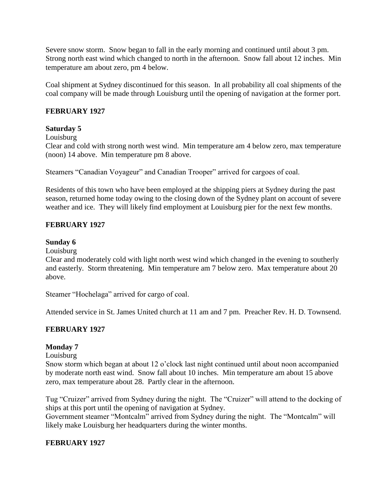Severe snow storm. Snow began to fall in the early morning and continued until about 3 pm. Strong north east wind which changed to north in the afternoon. Snow fall about 12 inches. Min temperature am about zero, pm 4 below.

Coal shipment at Sydney discontinued for this season. In all probability all coal shipments of the coal company will be made through Louisburg until the opening of navigation at the former port.

#### **FEBRUARY 1927**

#### **Saturday 5**

#### Louisburg

Clear and cold with strong north west wind. Min temperature am 4 below zero, max temperature (noon) 14 above. Min temperature pm 8 above.

Steamers "Canadian Voyageur" and Canadian Trooper" arrived for cargoes of coal.

Residents of this town who have been employed at the shipping piers at Sydney during the past season, returned home today owing to the closing down of the Sydney plant on account of severe weather and ice. They will likely find employment at Louisburg pier for the next few months.

#### **FEBRUARY 1927**

#### **Sunday 6**

Louisburg

Clear and moderately cold with light north west wind which changed in the evening to southerly and easterly. Storm threatening. Min temperature am 7 below zero. Max temperature about 20 above.

Steamer "Hochelaga" arrived for cargo of coal.

Attended service in St. James United church at 11 am and 7 pm. Preacher Rev. H. D. Townsend.

#### **FEBRUARY 1927**

#### **Monday 7**

Louisburg

Snow storm which began at about 12 o'clock last night continued until about noon accompanied by moderate north east wind. Snow fall about 10 inches. Min temperature am about 15 above zero, max temperature about 28. Partly clear in the afternoon.

Tug "Cruizer" arrived from Sydney during the night. The "Cruizer" will attend to the docking of ships at this port until the opening of navigation at Sydney.

Government steamer "Montcalm" arrived from Sydney during the night. The "Montcalm" will likely make Louisburg her headquarters during the winter months.

#### **FEBRUARY 1927**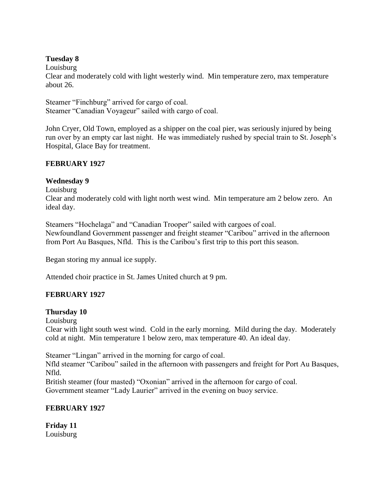## **Tuesday 8**

Louisburg

Clear and moderately cold with light westerly wind. Min temperature zero, max temperature about 26.

Steamer "Finchburg" arrived for cargo of coal. Steamer "Canadian Voyageur" sailed with cargo of coal.

John Cryer, Old Town, employed as a shipper on the coal pier, was seriously injured by being run over by an empty car last night. He was immediately rushed by special train to St. Joseph's Hospital, Glace Bay for treatment.

## **FEBRUARY 1927**

## **Wednesday 9**

Louisburg

Clear and moderately cold with light north west wind. Min temperature am 2 below zero. An ideal day.

Steamers "Hochelaga" and "Canadian Trooper" sailed with cargoes of coal. Newfoundland Government passenger and freight steamer "Caribou" arrived in the afternoon from Port Au Basques, Nfld. This is the Caribou's first trip to this port this season.

Began storing my annual ice supply.

Attended choir practice in St. James United church at 9 pm.

## **FEBRUARY 1927**

## **Thursday 10**

Louisburg

Clear with light south west wind. Cold in the early morning. Mild during the day. Moderately cold at night. Min temperature 1 below zero, max temperature 40. An ideal day.

Steamer "Lingan" arrived in the morning for cargo of coal.

Nfld steamer "Caribou" sailed in the afternoon with passengers and freight for Port Au Basques, Nfld.

British steamer (four masted) "Oxonian" arrived in the afternoon for cargo of coal. Government steamer "Lady Laurier" arrived in the evening on buoy service.

## **FEBRUARY 1927**

**Friday 11** Louisburg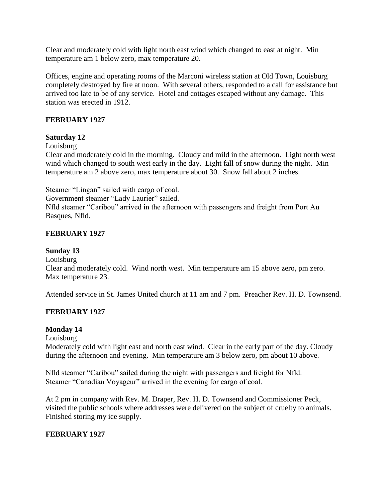Clear and moderately cold with light north east wind which changed to east at night. Min temperature am 1 below zero, max temperature 20.

Offices, engine and operating rooms of the Marconi wireless station at Old Town, Louisburg completely destroyed by fire at noon. With several others, responded to a call for assistance but arrived too late to be of any service. Hotel and cottages escaped without any damage. This station was erected in 1912.

## **FEBRUARY 1927**

#### **Saturday 12**

#### Louisburg

Clear and moderately cold in the morning. Cloudy and mild in the afternoon. Light north west wind which changed to south west early in the day. Light fall of snow during the night. Min temperature am 2 above zero, max temperature about 30. Snow fall about 2 inches.

Steamer "Lingan" sailed with cargo of coal.

Government steamer "Lady Laurier" sailed.

Nfld steamer "Caribou" arrived in the afternoon with passengers and freight from Port Au Basques, Nfld.

## **FEBRUARY 1927**

## **Sunday 13**

Louisburg Clear and moderately cold. Wind north west. Min temperature am 15 above zero, pm zero. Max temperature 23.

Attended service in St. James United church at 11 am and 7 pm. Preacher Rev. H. D. Townsend.

## **FEBRUARY 1927**

## **Monday 14**

Louisburg

Moderately cold with light east and north east wind. Clear in the early part of the day. Cloudy during the afternoon and evening. Min temperature am 3 below zero, pm about 10 above.

Nfld steamer "Caribou" sailed during the night with passengers and freight for Nfld. Steamer "Canadian Voyageur" arrived in the evening for cargo of coal.

At 2 pm in company with Rev. M. Draper, Rev. H. D. Townsend and Commissioner Peck, visited the public schools where addresses were delivered on the subject of cruelty to animals. Finished storing my ice supply.

## **FEBRUARY 1927**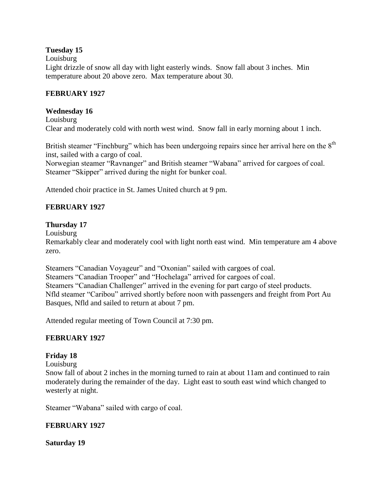## **Tuesday 15**

Louisburg

Light drizzle of snow all day with light easterly winds. Snow fall about 3 inches. Min temperature about 20 above zero. Max temperature about 30.

#### **FEBRUARY 1927**

#### **Wednesday 16**

Louisburg Clear and moderately cold with north west wind. Snow fall in early morning about 1 inch.

British steamer "Finchburg" which has been undergoing repairs since her arrival here on the  $8<sup>th</sup>$ inst, sailed with a cargo of coal.

Norwegian steamer "Ravnanger" and British steamer "Wabana" arrived for cargoes of coal. Steamer "Skipper" arrived during the night for bunker coal.

Attended choir practice in St. James United church at 9 pm.

## **FEBRUARY 1927**

#### **Thursday 17**

Louisburg

Remarkably clear and moderately cool with light north east wind. Min temperature am 4 above zero.

Steamers "Canadian Voyageur" and "Oxonian" sailed with cargoes of coal. Steamers "Canadian Trooper" and "Hochelaga" arrived for cargoes of coal. Steamers "Canadian Challenger" arrived in the evening for part cargo of steel products. Nfld steamer "Caribou" arrived shortly before noon with passengers and freight from Port Au Basques, Nfld and sailed to return at about 7 pm.

Attended regular meeting of Town Council at 7:30 pm.

#### **FEBRUARY 1927**

## **Friday 18**

Louisburg

Snow fall of about 2 inches in the morning turned to rain at about 11am and continued to rain moderately during the remainder of the day. Light east to south east wind which changed to westerly at night.

Steamer "Wabana" sailed with cargo of coal.

#### **FEBRUARY 1927**

**Saturday 19**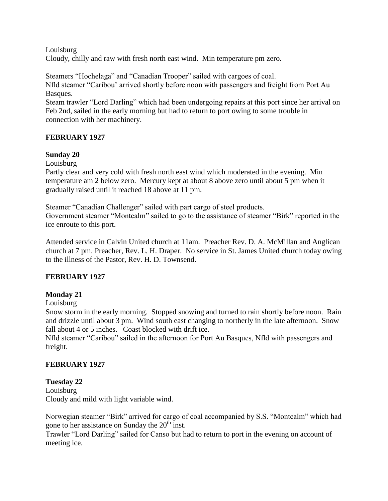Louisburg

Cloudy, chilly and raw with fresh north east wind. Min temperature pm zero.

Steamers "Hochelaga" and "Canadian Trooper" sailed with cargoes of coal. Nfld steamer "Caribou' arrived shortly before noon with passengers and freight from Port Au Basques.

Steam trawler "Lord Darling" which had been undergoing repairs at this port since her arrival on Feb 2nd, sailed in the early morning but had to return to port owing to some trouble in connection with her machinery.

## **FEBRUARY 1927**

## **Sunday 20**

Louisburg

Partly clear and very cold with fresh north east wind which moderated in the evening. Min temperature am 2 below zero. Mercury kept at about 8 above zero until about 5 pm when it gradually raised until it reached 18 above at 11 pm.

Steamer "Canadian Challenger" sailed with part cargo of steel products. Government steamer "Montcalm" sailed to go to the assistance of steamer "Birk" reported in the ice enroute to this port.

Attended service in Calvin United church at 11am. Preacher Rev. D. A. McMillan and Anglican church at 7 pm. Preacher, Rev. L. H. Draper. No service in St. James United church today owing to the illness of the Pastor, Rev. H. D. Townsend.

## **FEBRUARY 1927**

## **Monday 21**

Louisburg

Snow storm in the early morning. Stopped snowing and turned to rain shortly before noon. Rain and drizzle until about 3 pm. Wind south east changing to northerly in the late afternoon. Snow fall about 4 or 5 inches. Coast blocked with drift ice.

Nfld steamer "Caribou" sailed in the afternoon for Port Au Basques, Nfld with passengers and freight.

## **FEBRUARY 1927**

## **Tuesday 22**

Louisburg Cloudy and mild with light variable wind.

Norwegian steamer "Birk" arrived for cargo of coal accompanied by S.S. "Montcalm" which had gone to her assistance on Sunday the  $20<sup>th</sup>$  inst.

Trawler "Lord Darling" sailed for Canso but had to return to port in the evening on account of meeting ice.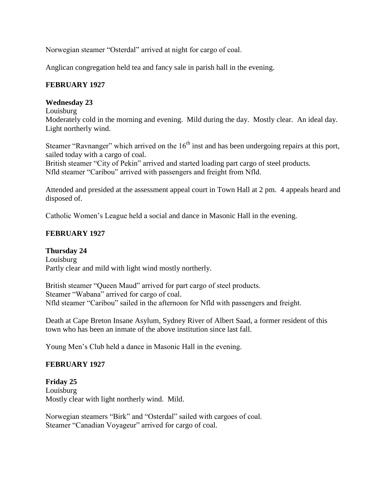Norwegian steamer "Osterdal" arrived at night for cargo of coal.

Anglican congregation held tea and fancy sale in parish hall in the evening.

## **FEBRUARY 1927**

#### **Wednesday 23**

Louisburg

Moderately cold in the morning and evening. Mild during the day. Mostly clear. An ideal day. Light northerly wind.

Steamer "Ravnanger" which arrived on the  $16<sup>th</sup>$  inst and has been undergoing repairs at this port, sailed today with a cargo of coal.

British steamer "City of Pekin" arrived and started loading part cargo of steel products. Nfld steamer "Caribou" arrived with passengers and freight from Nfld.

Attended and presided at the assessment appeal court in Town Hall at 2 pm. 4 appeals heard and disposed of.

Catholic Women's League held a social and dance in Masonic Hall in the evening.

## **FEBRUARY 1927**

**Thursday 24** Louisburg Partly clear and mild with light wind mostly northerly.

British steamer "Queen Maud" arrived for part cargo of steel products. Steamer "Wabana" arrived for cargo of coal. Nfld steamer "Caribou" sailed in the afternoon for Nfld with passengers and freight.

Death at Cape Breton Insane Asylum, Sydney River of Albert Saad, a former resident of this town who has been an inmate of the above institution since last fall.

Young Men's Club held a dance in Masonic Hall in the evening.

## **FEBRUARY 1927**

**Friday 25** Louisburg Mostly clear with light northerly wind. Mild.

Norwegian steamers "Birk" and "Osterdal" sailed with cargoes of coal. Steamer "Canadian Voyageur" arrived for cargo of coal.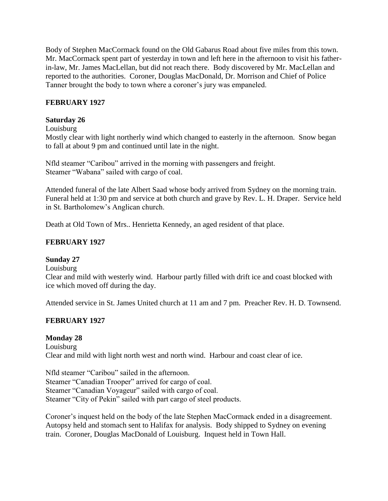Body of Stephen MacCormack found on the Old Gabarus Road about five miles from this town. Mr. MacCormack spent part of yesterday in town and left here in the afternoon to visit his fatherin-law, Mr. James MacLellan, but did not reach there. Body discovered by Mr. MacLellan and reported to the authorities. Coroner, Douglas MacDonald, Dr. Morrison and Chief of Police Tanner brought the body to town where a coroner's jury was empaneled.

## **FEBRUARY 1927**

## **Saturday 26**

Louisburg

Mostly clear with light northerly wind which changed to easterly in the afternoon. Snow began to fall at about 9 pm and continued until late in the night.

Nfld steamer "Caribou" arrived in the morning with passengers and freight. Steamer "Wabana" sailed with cargo of coal.

Attended funeral of the late Albert Saad whose body arrived from Sydney on the morning train. Funeral held at 1:30 pm and service at both church and grave by Rev. L. H. Draper. Service held in St. Bartholomew's Anglican church.

Death at Old Town of Mrs.. Henrietta Kennedy, an aged resident of that place.

## **FEBRUARY 1927**

## **Sunday 27**

Louisburg

Clear and mild with westerly wind. Harbour partly filled with drift ice and coast blocked with ice which moved off during the day.

Attended service in St. James United church at 11 am and 7 pm. Preacher Rev. H. D. Townsend.

## **FEBRUARY 1927**

## **Monday 28**

Louisburg Clear and mild with light north west and north wind. Harbour and coast clear of ice.

Nfld steamer "Caribou" sailed in the afternoon. Steamer "Canadian Trooper" arrived for cargo of coal. Steamer "Canadian Voyageur" sailed with cargo of coal. Steamer "City of Pekin" sailed with part cargo of steel products.

Coroner's inquest held on the body of the late Stephen MacCormack ended in a disagreement. Autopsy held and stomach sent to Halifax for analysis. Body shipped to Sydney on evening train. Coroner, Douglas MacDonald of Louisburg. Inquest held in Town Hall.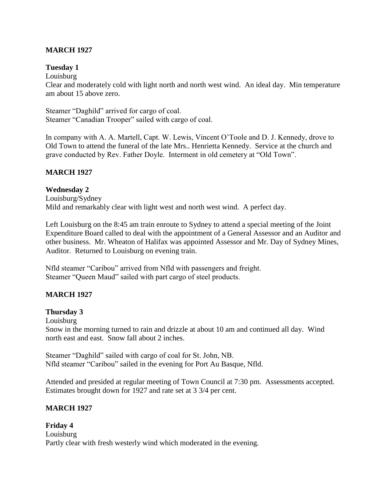## **MARCH 1927**

#### **Tuesday 1**

Louisburg

Clear and moderately cold with light north and north west wind. An ideal day. Min temperature am about 15 above zero.

Steamer "Daghild" arrived for cargo of coal. Steamer "Canadian Trooper" sailed with cargo of coal.

In company with A. A. Martell, Capt. W. Lewis, Vincent O'Toole and D. J. Kennedy, drove to Old Town to attend the funeral of the late Mrs.. Henrietta Kennedy. Service at the church and grave conducted by Rev. Father Doyle. Interment in old cemetery at "Old Town".

## **MARCH 1927**

#### **Wednesday 2**

Louisburg/Sydney Mild and remarkably clear with light west and north west wind. A perfect day.

Left Louisburg on the 8:45 am train enroute to Sydney to attend a special meeting of the Joint Expenditure Board called to deal with the appointment of a General Assessor and an Auditor and other business. Mr. Wheaton of Halifax was appointed Assessor and Mr. Day of Sydney Mines, Auditor. Returned to Louisburg on evening train.

Nfld steamer "Caribou" arrived from Nfld with passengers and freight. Steamer "Queen Maud" sailed with part cargo of steel products.

## **MARCH 1927**

**Thursday 3**

Louisburg

Snow in the morning turned to rain and drizzle at about 10 am and continued all day. Wind north east and east. Snow fall about 2 inches.

Steamer "Daghild" sailed with cargo of coal for St. John, NB. Nfld steamer "Caribou" sailed in the evening for Port Au Basque, Nfld.

Attended and presided at regular meeting of Town Council at 7:30 pm. Assessments accepted. Estimates brought down for 1927 and rate set at 3 3/4 per cent.

## **MARCH 1927**

**Friday 4** Louisburg Partly clear with fresh westerly wind which moderated in the evening.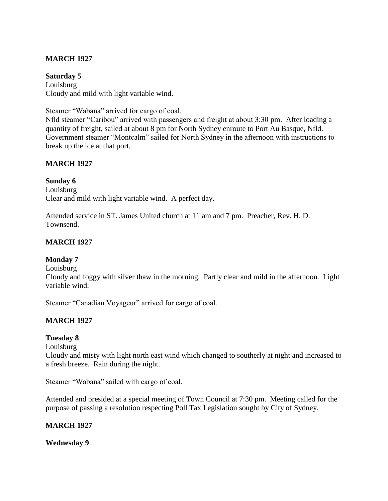## **MARCH 1927**

**Saturday 5** Louisburg Cloudy and mild with light variable wind.

Steamer "Wabana" arrived for cargo of coal.

Nfld steamer "Caribou" arrived with passengers and freight at about 3:30 pm. After loading a quantity of freight, sailed at about 8 pm for North Sydney enroute to Port Au Basque, Nfld. Government steamer "Montcalm" sailed for North Sydney in the afternoon with instructions to break up the ice at that port.

#### **MARCH 1927**

#### **Sunday 6**

Louisburg Clear and mild with light variable wind. A perfect day.

Attended service in ST. James United church at 11 am and 7 pm. Preacher, Rev. H. D. Townsend.

#### **MARCH 1927**

#### **Monday 7**

Louisburg

Cloudy and foggy with silver thaw in the morning. Partly clear and mild in the afternoon. Light variable wind.

Steamer "Canadian Voyageur" arrived for cargo of coal.

#### **MARCH 1927**

#### **Tuesday 8**

Louisburg

Cloudy and misty with light north east wind which changed to southerly at night and increased to a fresh breeze. Rain during the night.

Steamer "Wabana" sailed with cargo of coal.

Attended and presided at a special meeting of Town Council at 7:30 pm. Meeting called for the purpose of passing a resolution respecting Poll Tax Legislation sought by City of Sydney.

#### **MARCH 1927**

**Wednesday 9**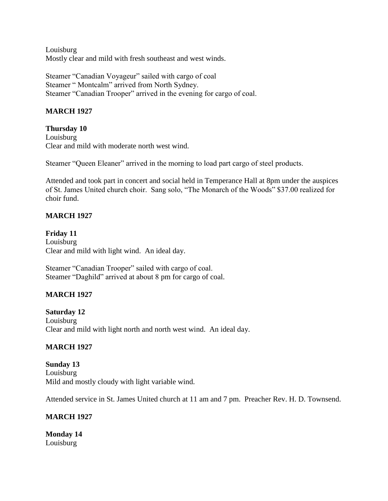Louisburg Mostly clear and mild with fresh southeast and west winds.

Steamer "Canadian Voyageur" sailed with cargo of coal Steamer " Montcalm" arrived from North Sydney. Steamer "Canadian Trooper" arrived in the evening for cargo of coal.

## **MARCH 1927**

## **Thursday 10**

Louisburg Clear and mild with moderate north west wind.

Steamer "Queen Eleaner" arrived in the morning to load part cargo of steel products.

Attended and took part in concert and social held in Temperance Hall at 8pm under the auspices of St. James United church choir. Sang solo, "The Monarch of the Woods" \$37.00 realized for choir fund.

## **MARCH 1927**

**Friday 11** Louisburg Clear and mild with light wind. An ideal day.

Steamer "Canadian Trooper" sailed with cargo of coal. Steamer "Daghild" arrived at about 8 pm for cargo of coal.

## **MARCH 1927**

**Saturday 12** Louisburg Clear and mild with light north and north west wind. An ideal day.

## **MARCH 1927**

**Sunday 13** Louisburg Mild and mostly cloudy with light variable wind.

Attended service in St. James United church at 11 am and 7 pm. Preacher Rev. H. D. Townsend.

## **MARCH 1927**

**Monday 14** Louisburg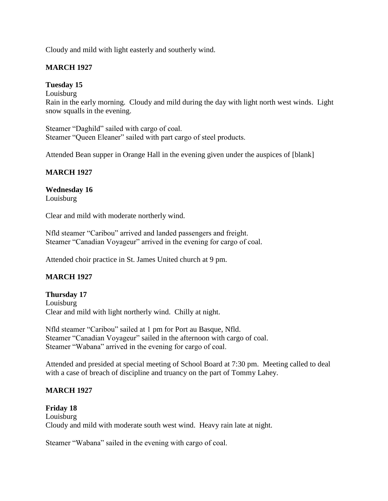Cloudy and mild with light easterly and southerly wind.

## **MARCH 1927**

## **Tuesday 15**

Louisburg

Rain in the early morning. Cloudy and mild during the day with light north west winds. Light snow squalls in the evening.

Steamer "Daghild" sailed with cargo of coal. Steamer "Queen Eleaner" sailed with part cargo of steel products.

Attended Bean supper in Orange Hall in the evening given under the auspices of [blank]

## **MARCH 1927**

## **Wednesday 16**

Louisburg

Clear and mild with moderate northerly wind.

Nfld steamer "Caribou" arrived and landed passengers and freight. Steamer "Canadian Voyageur" arrived in the evening for cargo of coal.

Attended choir practice in St. James United church at 9 pm.

## **MARCH 1927**

## **Thursday 17**

Louisburg Clear and mild with light northerly wind. Chilly at night.

Nfld steamer "Caribou" sailed at 1 pm for Port au Basque, Nfld. Steamer "Canadian Voyageur" sailed in the afternoon with cargo of coal. Steamer "Wabana" arrived in the evening for cargo of coal.

Attended and presided at special meeting of School Board at 7:30 pm. Meeting called to deal with a case of breach of discipline and truancy on the part of Tommy Lahey.

## **MARCH 1927**

**Friday 18** Louisburg Cloudy and mild with moderate south west wind. Heavy rain late at night.

Steamer "Wabana" sailed in the evening with cargo of coal.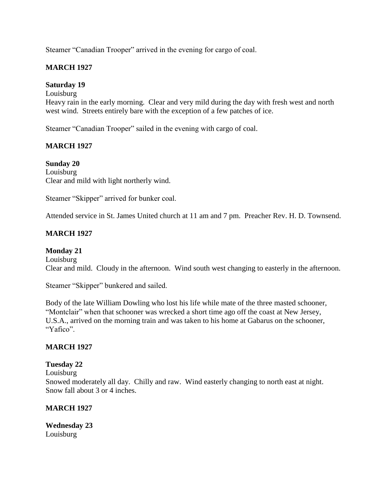Steamer "Canadian Trooper" arrived in the evening for cargo of coal.

## **MARCH 1927**

#### **Saturday 19**

Louisburg

Heavy rain in the early morning. Clear and very mild during the day with fresh west and north west wind. Streets entirely bare with the exception of a few patches of ice.

Steamer "Canadian Trooper" sailed in the evening with cargo of coal.

## **MARCH 1927**

**Sunday 20** Louisburg Clear and mild with light northerly wind.

Steamer "Skipper" arrived for bunker coal.

Attended service in St. James United church at 11 am and 7 pm. Preacher Rev. H. D. Townsend.

## **MARCH 1927**

**Monday 21** Louisburg Clear and mild. Cloudy in the afternoon. Wind south west changing to easterly in the afternoon.

Steamer "Skipper" bunkered and sailed.

Body of the late William Dowling who lost his life while mate of the three masted schooner, "Montclair" when that schooner was wrecked a short time ago off the coast at New Jersey, U.S.A., arrived on the morning train and was taken to his home at Gabarus on the schooner, "Yafico".

## **MARCH 1927**

#### **Tuesday 22**

Louisburg Snowed moderately all day. Chilly and raw. Wind easterly changing to north east at night. Snow fall about 3 or 4 inches.

#### **MARCH 1927**

**Wednesday 23** Louisburg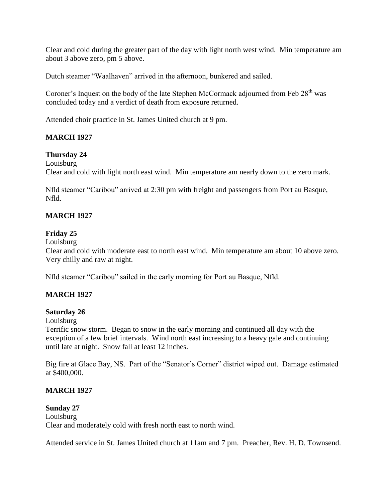Clear and cold during the greater part of the day with light north west wind. Min temperature am about 3 above zero, pm 5 above.

Dutch steamer "Waalhaven" arrived in the afternoon, bunkered and sailed.

Coroner's Inquest on the body of the late Stephen McCormack adjourned from Feb 28<sup>th</sup> was concluded today and a verdict of death from exposure returned.

Attended choir practice in St. James United church at 9 pm.

## **MARCH 1927**

## **Thursday 24**

Louisburg

Clear and cold with light north east wind. Min temperature am nearly down to the zero mark.

Nfld steamer "Caribou" arrived at 2:30 pm with freight and passengers from Port au Basque, Nfld.

## **MARCH 1927**

## **Friday 25**

Louisburg

Clear and cold with moderate east to north east wind. Min temperature am about 10 above zero. Very chilly and raw at night.

Nfld steamer "Caribou" sailed in the early morning for Port au Basque, Nfld.

## **MARCH 1927**

## **Saturday 26**

## Louisburg

Terrific snow storm. Began to snow in the early morning and continued all day with the exception of a few brief intervals. Wind north east increasing to a heavy gale and continuing until late at night. Snow fall at least 12 inches.

Big fire at Glace Bay, NS. Part of the "Senator's Corner" district wiped out. Damage estimated at \$400,000.

## **MARCH 1927**

## **Sunday 27**

Louisburg Clear and moderately cold with fresh north east to north wind.

Attended service in St. James United church at 11am and 7 pm. Preacher, Rev. H. D. Townsend.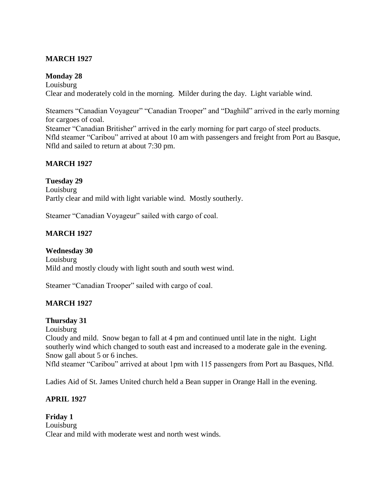## **MARCH 1927**

#### **Monday 28**

Louisburg Clear and moderately cold in the morning. Milder during the day. Light variable wind.

Steamers "Canadian Voyageur" "Canadian Trooper" and "Daghild" arrived in the early morning for cargoes of coal.

Steamer "Canadian Britisher" arrived in the early morning for part cargo of steel products. Nfld steamer "Caribou" arrived at about 10 am with passengers and freight from Port au Basque, Nfld and sailed to return at about 7:30 pm.

## **MARCH 1927**

**Tuesday 29** Louisburg Partly clear and mild with light variable wind. Mostly southerly.

Steamer "Canadian Voyageur" sailed with cargo of coal.

## **MARCH 1927**

**Wednesday 30** Louisburg Mild and mostly cloudy with light south and south west wind.

Steamer "Canadian Trooper" sailed with cargo of coal.

## **MARCH 1927**

#### **Thursday 31**

Louisburg

Cloudy and mild. Snow began to fall at 4 pm and continued until late in the night. Light southerly wind which changed to south east and increased to a moderate gale in the evening. Snow gall about 5 or 6 inches.

Nfld steamer "Caribou" arrived at about 1pm with 115 passengers from Port au Basques, Nfld.

Ladies Aid of St. James United church held a Bean supper in Orange Hall in the evening.

## **APRIL 1927**

**Friday 1** Louisburg Clear and mild with moderate west and north west winds.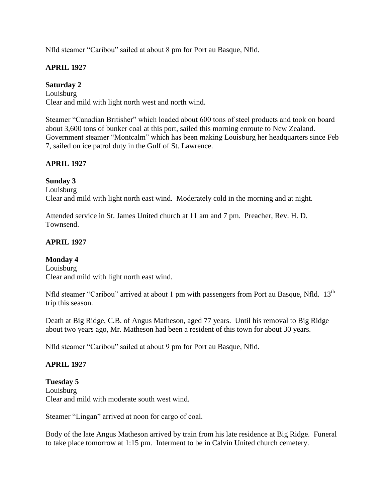Nfld steamer "Caribou" sailed at about 8 pm for Port au Basque, Nfld.

## **APRIL 1927**

## **Saturday 2**

Louisburg Clear and mild with light north west and north wind.

Steamer "Canadian Britisher" which loaded about 600 tons of steel products and took on board about 3,600 tons of bunker coal at this port, sailed this morning enroute to New Zealand. Government steamer "Montcalm" which has been making Louisburg her headquarters since Feb 7, sailed on ice patrol duty in the Gulf of St. Lawrence.

# **APRIL 1927**

## **Sunday 3**

Louisburg Clear and mild with light north east wind. Moderately cold in the morning and at night.

Attended service in St. James United church at 11 am and 7 pm. Preacher, Rev. H. D. Townsend.

## **APRIL 1927**

## **Monday 4**

Louisburg Clear and mild with light north east wind.

Nfld steamer "Caribou" arrived at about 1 pm with passengers from Port au Basque, Nfld. 13<sup>th</sup> trip this season.

Death at Big Ridge, C.B. of Angus Matheson, aged 77 years. Until his removal to Big Ridge about two years ago, Mr. Matheson had been a resident of this town for about 30 years.

Nfld steamer "Caribou" sailed at about 9 pm for Port au Basque, Nfld.

## **APRIL 1927**

**Tuesday 5** Louisburg Clear and mild with moderate south west wind.

Steamer "Lingan" arrived at noon for cargo of coal.

Body of the late Angus Matheson arrived by train from his late residence at Big Ridge. Funeral to take place tomorrow at 1:15 pm. Interment to be in Calvin United church cemetery.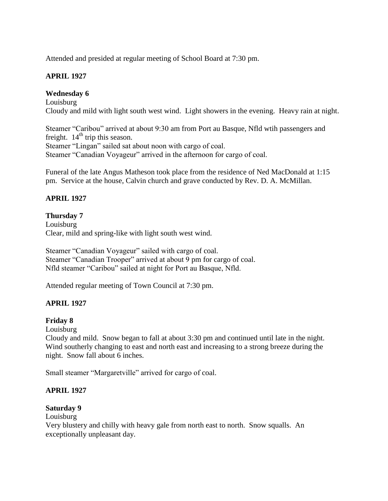Attended and presided at regular meeting of School Board at 7:30 pm.

## **APRIL 1927**

## **Wednesday 6**

Louisburg Cloudy and mild with light south west wind. Light showers in the evening. Heavy rain at night.

Steamer "Caribou" arrived at about 9:30 am from Port au Basque, Nfld wtih passengers and freight.  $14<sup>th</sup>$  trip this season. Steamer "Lingan" sailed sat about noon with cargo of coal. Steamer "Canadian Voyageur" arrived in the afternoon for cargo of coal.

Funeral of the late Angus Matheson took place from the residence of Ned MacDonald at 1:15 pm. Service at the house, Calvin church and grave conducted by Rev. D. A. McMillan.

## **APRIL 1927**

#### **Thursday 7**

Louisburg Clear, mild and spring-like with light south west wind.

Steamer "Canadian Voyageur" sailed with cargo of coal. Steamer "Canadian Trooper" arrived at about 9 pm for cargo of coal. Nfld steamer "Caribou" sailed at night for Port au Basque, Nfld.

Attended regular meeting of Town Council at 7:30 pm.

## **APRIL 1927**

## **Friday 8**

Louisburg

Cloudy and mild. Snow began to fall at about 3:30 pm and continued until late in the night. Wind southerly changing to east and north east and increasing to a strong breeze during the night. Snow fall about 6 inches.

Small steamer "Margaretville" arrived for cargo of coal.

## **APRIL 1927**

#### **Saturday 9**

Louisburg

Very blustery and chilly with heavy gale from north east to north. Snow squalls. An exceptionally unpleasant day.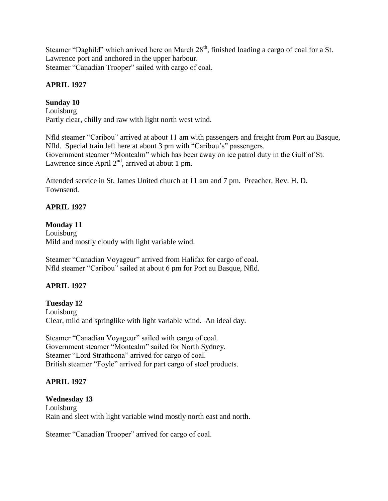Steamer "Daghild" which arrived here on March 28<sup>th</sup>, finished loading a cargo of coal for a St. Lawrence port and anchored in the upper harbour. Steamer "Canadian Trooper" sailed with cargo of coal.

## **APRIL 1927**

# **Sunday 10**

Louisburg Partly clear, chilly and raw with light north west wind.

Nfld steamer "Caribou" arrived at about 11 am with passengers and freight from Port au Basque, Nfld. Special train left here at about 3 pm with "Caribou's" passengers. Government steamer "Montcalm" which has been away on ice patrol duty in the Gulf of St. Lawrence since April 2<sup>nd</sup>, arrived at about 1 pm.

Attended service in St. James United church at 11 am and 7 pm. Preacher, Rev. H. D. Townsend.

# **APRIL 1927**

# **Monday 11**

Louisburg Mild and mostly cloudy with light variable wind.

Steamer "Canadian Voyageur" arrived from Halifax for cargo of coal. Nfld steamer "Caribou" sailed at about 6 pm for Port au Basque, Nfld.

## **APRIL 1927**

**Tuesday 12** Louisburg Clear, mild and springlike with light variable wind. An ideal day.

Steamer "Canadian Voyageur" sailed with cargo of coal. Government steamer "Montcalm" sailed for North Sydney. Steamer "Lord Strathcona" arrived for cargo of coal. British steamer "Foyle" arrived for part cargo of steel products.

## **APRIL 1927**

## **Wednesday 13**

Louisburg Rain and sleet with light variable wind mostly north east and north.

Steamer "Canadian Trooper" arrived for cargo of coal.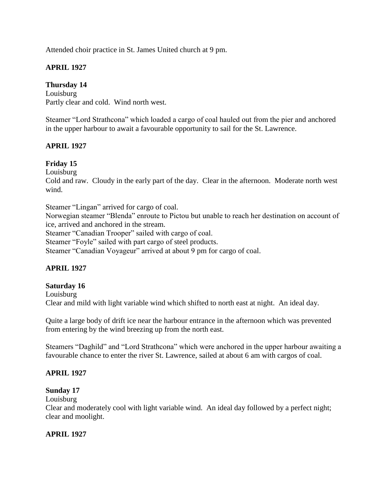Attended choir practice in St. James United church at 9 pm.

## **APRIL 1927**

## **Thursday 14**

Louisburg Partly clear and cold. Wind north west.

Steamer "Lord Strathcona" which loaded a cargo of coal hauled out from the pier and anchored in the upper harbour to await a favourable opportunity to sail for the St. Lawrence.

## **APRIL 1927**

## **Friday 15**

Louisburg

Cold and raw. Cloudy in the early part of the day. Clear in the afternoon. Moderate north west wind.

Steamer "Lingan" arrived for cargo of coal.

Norwegian steamer "Blenda" enroute to Pictou but unable to reach her destination on account of ice, arrived and anchored in the stream.

Steamer "Canadian Trooper" sailed with cargo of coal.

Steamer "Foyle" sailed with part cargo of steel products.

Steamer "Canadian Voyageur" arrived at about 9 pm for cargo of coal.

## **APRIL 1927**

## **Saturday 16**

Louisburg Clear and mild with light variable wind which shifted to north east at night. An ideal day.

Quite a large body of drift ice near the harbour entrance in the afternoon which was prevented from entering by the wind breezing up from the north east.

Steamers "Daghild" and "Lord Strathcona" which were anchored in the upper harbour awaiting a favourable chance to enter the river St. Lawrence, sailed at about 6 am with cargos of coal.

## **APRIL 1927**

## **Sunday 17**

Louisburg

Clear and moderately cool with light variable wind. An ideal day followed by a perfect night; clear and moolight.

## **APRIL 1927**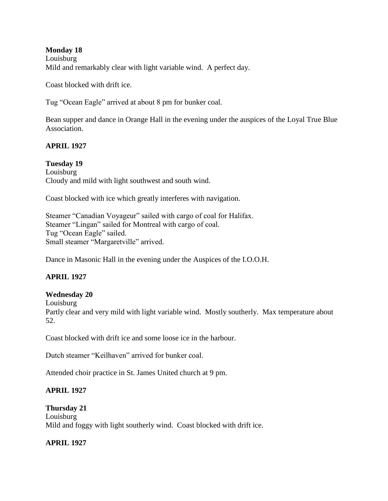#### **Monday 18** Louisburg Mild and remarkably clear with light variable wind. A perfect day.

Coast blocked with drift ice.

Tug "Ocean Eagle" arrived at about 8 pm for bunker coal.

Bean supper and dance in Orange Hall in the evening under the auspices of the Loyal True Blue Association.

## **APRIL 1927**

**Tuesday 19** Louisburg Cloudy and mild with light southwest and south wind.

Coast blocked with ice which greatly interferes with navigation.

Steamer "Canadian Voyageur" sailed with cargo of coal for Halifax. Steamer "Lingan" sailed for Montreal with cargo of coal. Tug "Ocean Eagle" sailed. Small steamer "Margaretville" arrived.

Dance in Masonic Hall in the evening under the Auspices of the I.O.O.H.

## **APRIL 1927**

## **Wednesday 20**

Louisburg

Partly clear and very mild with light variable wind. Mostly southerly. Max temperature about 52.

Coast blocked with drift ice and some loose ice in the harbour.

Dutch steamer "Keilhaven" arrived for bunker coal.

Attended choir practice in St. James United church at 9 pm.

## **APRIL 1927**

**Thursday 21** Louisburg Mild and foggy with light southerly wind. Coast blocked with drift ice.

## **APRIL 1927**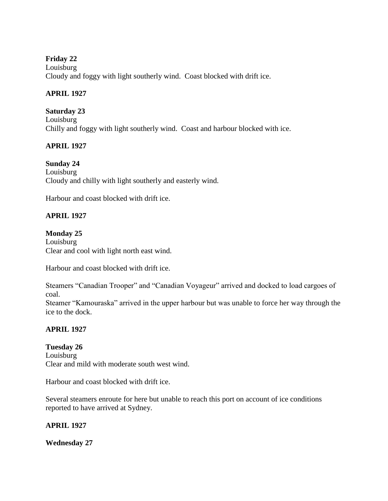## **Friday 22**

Louisburg Cloudy and foggy with light southerly wind. Coast blocked with drift ice.

## **APRIL 1927**

## **Saturday 23**

Louisburg Chilly and foggy with light southerly wind. Coast and harbour blocked with ice.

# **APRIL 1927**

## **Sunday 24**

Louisburg Cloudy and chilly with light southerly and easterly wind.

Harbour and coast blocked with drift ice.

# **APRIL 1927**

## **Monday 25**

Louisburg Clear and cool with light north east wind.

Harbour and coast blocked with drift ice.

Steamers "Canadian Trooper" and "Canadian Voyageur" arrived and docked to load cargoes of coal.

Steamer "Kamouraska" arrived in the upper harbour but was unable to force her way through the ice to the dock.

## **APRIL 1927**

**Tuesday 26** Louisburg Clear and mild with moderate south west wind.

Harbour and coast blocked with drift ice.

Several steamers enroute for here but unable to reach this port on account of ice conditions reported to have arrived at Sydney.

## **APRIL 1927**

**Wednesday 27**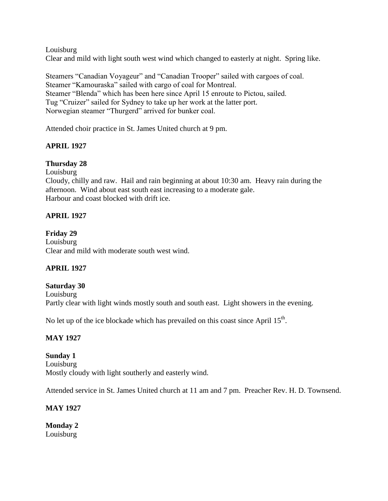Louisburg

Clear and mild with light south west wind which changed to easterly at night. Spring like.

Steamers "Canadian Voyageur" and "Canadian Trooper" sailed with cargoes of coal. Steamer "Kamouraska" sailed with cargo of coal for Montreal. Steamer "Blenda" which has been here since April 15 enroute to Pictou, sailed. Tug "Cruizer" sailed for Sydney to take up her work at the latter port. Norwegian steamer "Thurgerd" arrived for bunker coal.

Attended choir practice in St. James United church at 9 pm.

# **APRIL 1927**

## **Thursday 28**

Louisburg

Cloudy, chilly and raw. Hail and rain beginning at about 10:30 am. Heavy rain during the afternoon. Wind about east south east increasing to a moderate gale. Harbour and coast blocked with drift ice.

# **APRIL 1927**

## **Friday 29**

Louisburg Clear and mild with moderate south west wind.

## **APRIL 1927**

#### **Saturday 30** Louisburg Partly clear with light winds mostly south and south east. Light showers in the evening.

No let up of the ice blockade which has prevailed on this coast since April  $15<sup>th</sup>$ .

## **MAY 1927**

**Sunday 1** Louisburg Mostly cloudy with light southerly and easterly wind.

Attended service in St. James United church at 11 am and 7 pm. Preacher Rev. H. D. Townsend.

## **MAY 1927**

**Monday 2** Louisburg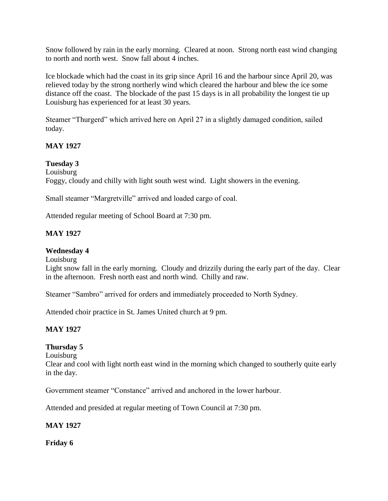Snow followed by rain in the early morning. Cleared at noon. Strong north east wind changing to north and north west. Snow fall about 4 inches.

Ice blockade which had the coast in its grip since April 16 and the harbour since April 20, was relieved today by the strong northerly wind which cleared the harbour and blew the ice some distance off the coast. The blockade of the past 15 days is in all probability the longest tie up Louisburg has experienced for at least 30 years.

Steamer "Thurgerd" which arrived here on April 27 in a slightly damaged condition, sailed today.

## **MAY 1927**

## **Tuesday 3**

Louisburg

Foggy, cloudy and chilly with light south west wind. Light showers in the evening.

Small steamer "Margretville" arrived and loaded cargo of coal.

Attended regular meeting of School Board at 7:30 pm.

## **MAY 1927**

#### **Wednesday 4**

Louisburg

Light snow fall in the early morning. Cloudy and drizzily during the early part of the day. Clear in the afternoon. Fresh north east and north wind. Chilly and raw.

Steamer "Sambro" arrived for orders and immediately proceeded to North Sydney.

Attended choir practice in St. James United church at 9 pm.

## **MAY 1927**

## **Thursday 5**

Louisburg

Clear and cool with light north east wind in the morning which changed to southerly quite early in the day.

Government steamer "Constance" arrived and anchored in the lower harbour.

Attended and presided at regular meeting of Town Council at 7:30 pm.

#### **MAY 1927**

**Friday 6**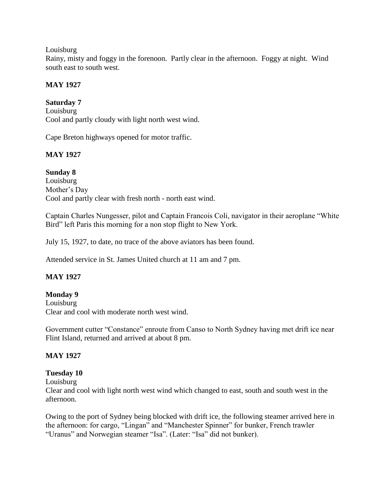#### Louisburg

Rainy, misty and foggy in the forenoon. Partly clear in the afternoon. Foggy at night. Wind south east to south west.

## **MAY 1927**

**Saturday 7** Louisburg Cool and partly cloudy with light north west wind.

Cape Breton highways opened for motor traffic.

## **MAY 1927**

**Sunday 8** Louisburg Mother's Day Cool and partly clear with fresh north - north east wind.

Captain Charles Nungesser, pilot and Captain Francois Coli, navigator in their aeroplane "White Bird" left Paris this morning for a non stop flight to New York.

July 15, 1927, to date, no trace of the above aviators has been found.

Attended service in St. James United church at 11 am and 7 pm.

## **MAY 1927**

## **Monday 9**

Louisburg Clear and cool with moderate north west wind.

Government cutter "Constance" enroute from Canso to North Sydney having met drift ice near Flint Island, returned and arrived at about 8 pm.

## **MAY 1927**

#### **Tuesday 10**

Louisburg

Clear and cool with light north west wind which changed to east, south and south west in the afternoon.

Owing to the port of Sydney being blocked with drift ice, the following steamer arrived here in the afternoon: for cargo, "Lingan" and "Manchester Spinner" for bunker, French trawler "Uranus" and Norwegian steamer "Isa". (Later: "Isa" did not bunker).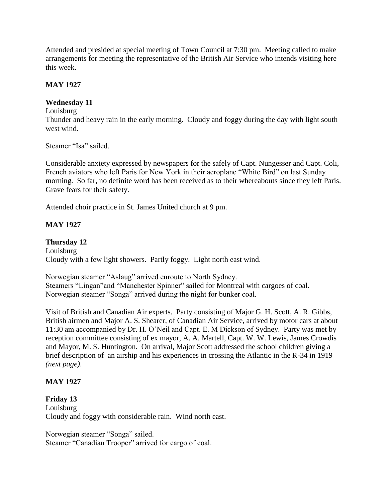Attended and presided at special meeting of Town Council at 7:30 pm. Meeting called to make arrangements for meeting the representative of the British Air Service who intends visiting here this week.

#### **MAY 1927**

#### **Wednesday 11**

#### Louisburg

Thunder and heavy rain in the early morning. Cloudy and foggy during the day with light south west wind.

Steamer "Isa" sailed.

Considerable anxiety expressed by newspapers for the safely of Capt. Nungesser and Capt. Coli, French aviators who left Paris for New York in their aeroplane "White Bird" on last Sunday morning. So far, no definite word has been received as to their whereabouts since they left Paris. Grave fears for their safety.

Attended choir practice in St. James United church at 9 pm.

#### **MAY 1927**

#### **Thursday 12**

Louisburg Cloudy with a few light showers. Partly foggy. Light north east wind.

Norwegian steamer "Aslaug" arrived enroute to North Sydney. Steamers "Lingan"and "Manchester Spinner" sailed for Montreal with cargoes of coal. Norwegian steamer "Songa" arrived during the night for bunker coal.

Visit of British and Canadian Air experts. Party consisting of Major G. H. Scott, A. R. Gibbs, British airmen and Major A. S. Shearer, of Canadian Air Service, arrived by motor cars at about 11:30 am accompanied by Dr. H. O'Neil and Capt. E. M Dickson of Sydney. Party was met by reception committee consisting of ex mayor, A. A. Martell, Capt. W. W. Lewis, James Crowdis and Mayor, M. S. Huntington. On arrival, Major Scott addressed the school children giving a brief description of an airship and his experiences in crossing the Atlantic in the R-34 in 1919 *(next page)*.

#### **MAY 1927**

#### **Friday 13**

Louisburg Cloudy and foggy with considerable rain. Wind north east.

Norwegian steamer "Songa" sailed. Steamer "Canadian Trooper" arrived for cargo of coal.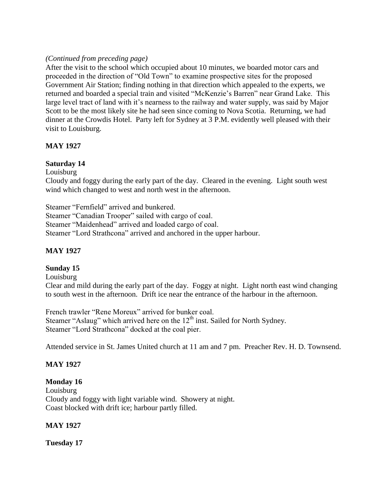## *(Continued from preceding page)*

After the visit to the school which occupied about 10 minutes, we boarded motor cars and proceeded in the direction of "Old Town" to examine prospective sites for the proposed Government Air Station; finding nothing in that direction which appealed to the experts, we returned and boarded a special train and visited "McKenzie's Barren" near Grand Lake. This large level tract of land with it's nearness to the railway and water supply, was said by Major Scott to be the most likely site he had seen since coming to Nova Scotia. Returning, we had dinner at the Crowdis Hotel. Party left for Sydney at 3 P.M. evidently well pleased with their visit to Louisburg.

## **MAY 1927**

## **Saturday 14**

Louisburg

Cloudy and foggy during the early part of the day. Cleared in the evening. Light south west wind which changed to west and north west in the afternoon.

Steamer "Fernfield" arrived and bunkered. Steamer "Canadian Trooper" sailed with cargo of coal. Steamer "Maidenhead" arrived and loaded cargo of coal. Steamer "Lord Strathcona" arrived and anchored in the upper harbour.

# **MAY 1927**

## **Sunday 15**

Louisburg

Clear and mild during the early part of the day. Foggy at night. Light north east wind changing to south west in the afternoon. Drift ice near the entrance of the harbour in the afternoon.

French trawler "Rene Moreux" arrived for bunker coal. Steamer "Aslaug" which arrived here on the  $12<sup>th</sup>$  inst. Sailed for North Sydney. Steamer "Lord Strathcona" docked at the coal pier.

Attended service in St. James United church at 11 am and 7 pm. Preacher Rev. H. D. Townsend.

## **MAY 1927**

## **Monday 16**

Louisburg Cloudy and foggy with light variable wind. Showery at night. Coast blocked with drift ice; harbour partly filled.

## **MAY 1927**

**Tuesday 17**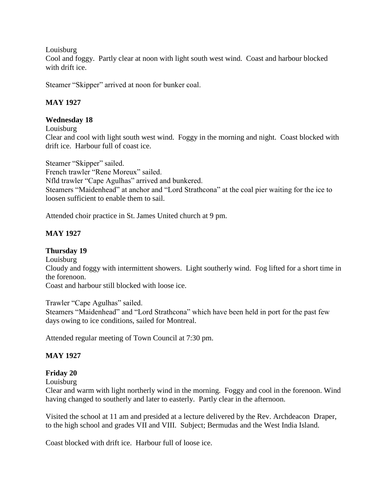Louisburg

Cool and foggy. Partly clear at noon with light south west wind. Coast and harbour blocked with drift ice.

Steamer "Skipper" arrived at noon for bunker coal.

## **MAY 1927**

## **Wednesday 18**

Louisburg

Clear and cool with light south west wind. Foggy in the morning and night. Coast blocked with drift ice. Harbour full of coast ice.

Steamer "Skipper" sailed. French trawler "Rene Moreux" sailed. Nfld trawler "Cape Agulhas" arrived and bunkered. Steamers "Maidenhead" at anchor and "Lord Strathcona" at the coal pier waiting for the ice to loosen sufficient to enable them to sail.

Attended choir practice in St. James United church at 9 pm.

# **MAY 1927**

## **Thursday 19**

Louisburg

Cloudy and foggy with intermittent showers. Light southerly wind. Fog lifted for a short time in the forenoon.

Coast and harbour still blocked with loose ice.

Trawler "Cape Agulhas" sailed.

Steamers "Maidenhead" and "Lord Strathcona" which have been held in port for the past few days owing to ice conditions, sailed for Montreal.

Attended regular meeting of Town Council at 7:30 pm.

## **MAY 1927**

## **Friday 20**

Louisburg

Clear and warm with light northerly wind in the morning. Foggy and cool in the forenoon. Wind having changed to southerly and later to easterly. Partly clear in the afternoon.

Visited the school at 11 am and presided at a lecture delivered by the Rev. Archdeacon Draper, to the high school and grades VII and VIII. Subject; Bermudas and the West India Island.

Coast blocked with drift ice. Harbour full of loose ice.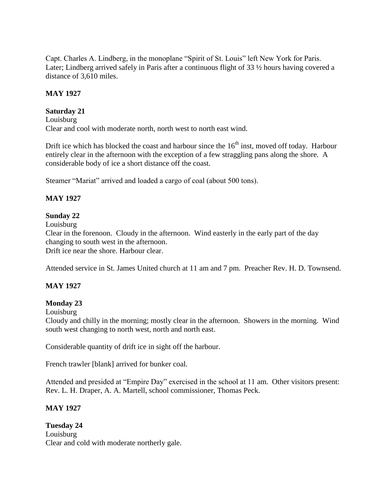Capt. Charles A. Lindberg, in the monoplane "Spirit of St. Louis" left New York for Paris. Later; Lindberg arrived safely in Paris after a continuous flight of 33 ½ hours having covered a distance of 3,610 miles.

## **MAY 1927**

## **Saturday 21**

Louisburg Clear and cool with moderate north, north west to north east wind.

Drift ice which has blocked the coast and harbour since the  $16<sup>th</sup>$  inst, moved off today. Harbour entirely clear in the afternoon with the exception of a few straggling pans along the shore. A considerable body of ice a short distance off the coast.

Steamer "Mariat" arrived and loaded a cargo of coal (about 500 tons).

## **MAY 1927**

## **Sunday 22**

Louisburg

Clear in the forenoon. Cloudy in the afternoon. Wind easterly in the early part of the day changing to south west in the afternoon. Drift ice near the shore. Harbour clear.

Attended service in St. James United church at 11 am and 7 pm. Preacher Rev. H. D. Townsend.

## **MAY 1927**

## **Monday 23**

Louisburg

Cloudy and chilly in the morning; mostly clear in the afternoon. Showers in the morning. Wind south west changing to north west, north and north east.

Considerable quantity of drift ice in sight off the harbour.

French trawler [blank] arrived for bunker coal.

Attended and presided at "Empire Day" exercised in the school at 11 am. Other visitors present: Rev. L. H. Draper, A. A. Martell, school commissioner, Thomas Peck.

## **MAY 1927**

**Tuesday 24** Louisburg Clear and cold with moderate northerly gale.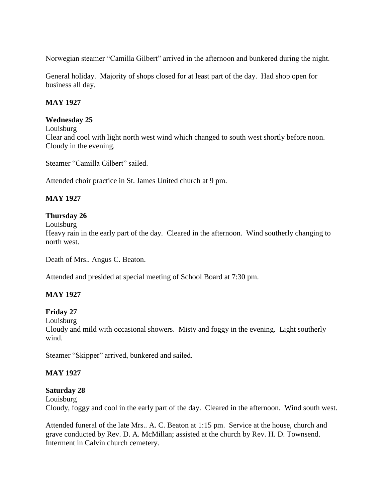Norwegian steamer "Camilla Gilbert" arrived in the afternoon and bunkered during the night.

General holiday. Majority of shops closed for at least part of the day. Had shop open for business all day.

#### **MAY 1927**

#### **Wednesday 25**

Louisburg Clear and cool with light north west wind which changed to south west shortly before noon. Cloudy in the evening.

Steamer "Camilla Gilbert" sailed.

Attended choir practice in St. James United church at 9 pm.

## **MAY 1927**

#### **Thursday 26**

Louisburg

Heavy rain in the early part of the day. Cleared in the afternoon. Wind southerly changing to north west.

Death of Mrs.. Angus C. Beaton.

Attended and presided at special meeting of School Board at 7:30 pm.

## **MAY 1927**

## **Friday 27**

Louisburg

Cloudy and mild with occasional showers. Misty and foggy in the evening. Light southerly wind.

Steamer "Skipper" arrived, bunkered and sailed.

## **MAY 1927**

#### **Saturday 28**

Louisburg Cloudy, foggy and cool in the early part of the day. Cleared in the afternoon. Wind south west.

Attended funeral of the late Mrs.. A. C. Beaton at 1:15 pm. Service at the house, church and grave conducted by Rev. D. A. McMillan; assisted at the church by Rev. H. D. Townsend. Interment in Calvin church cemetery.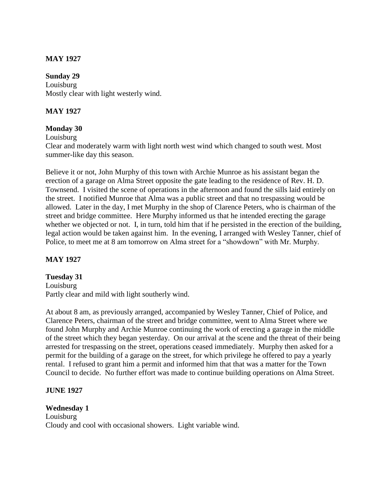#### **MAY 1927**

#### **Sunday 29**

Louisburg Mostly clear with light westerly wind.

#### **MAY 1927**

#### **Monday 30**

Louisburg

Clear and moderately warm with light north west wind which changed to south west. Most summer-like day this season.

Believe it or not, John Murphy of this town with Archie Munroe as his assistant began the erection of a garage on Alma Street opposite the gate leading to the residence of Rev. H. D. Townsend. I visited the scene of operations in the afternoon and found the sills laid entirely on the street. I notified Munroe that Alma was a public street and that no trespassing would be allowed. Later in the day, I met Murphy in the shop of Clarence Peters, who is chairman of the street and bridge committee. Here Murphy informed us that he intended erecting the garage whether we objected or not. I, in turn, told him that if he persisted in the erection of the building, legal action would be taken against him. In the evening, I arranged with Wesley Tanner, chief of Police, to meet me at 8 am tomorrow on Alma street for a "showdown" with Mr. Murphy.

#### **MAY 1927**

#### **Tuesday 31**

Louisburg Partly clear and mild with light southerly wind.

At about 8 am, as previously arranged, accompanied by Wesley Tanner, Chief of Police, and Clarence Peters, chairman of the street and bridge committee, went to Alma Street where we found John Murphy and Archie Munroe continuing the work of erecting a garage in the middle of the street which they began yesterday. On our arrival at the scene and the threat of their being arrested for trespassing on the street, operations ceased immediately. Murphy then asked for a permit for the building of a garage on the street, for which privilege he offered to pay a yearly rental. I refused to grant him a permit and informed him that that was a matter for the Town Council to decide. No further effort was made to continue building operations on Alma Street.

#### **JUNE 1927**

#### **Wednesday 1**

Louisburg Cloudy and cool with occasional showers. Light variable wind.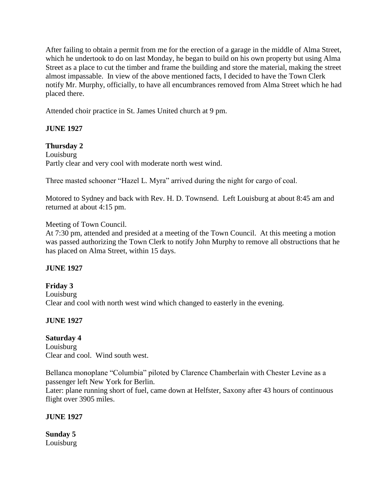After failing to obtain a permit from me for the erection of a garage in the middle of Alma Street, which he undertook to do on last Monday, he began to build on his own property but using Alma Street as a place to cut the timber and frame the building and store the material, making the street almost impassable. In view of the above mentioned facts, I decided to have the Town Clerk notify Mr. Murphy, officially, to have all encumbrances removed from Alma Street which he had placed there.

Attended choir practice in St. James United church at 9 pm.

## **JUNE 1927**

## **Thursday 2**

Louisburg Partly clear and very cool with moderate north west wind.

Three masted schooner "Hazel L. Myra" arrived during the night for cargo of coal.

Motored to Sydney and back with Rev. H. D. Townsend. Left Louisburg at about 8:45 am and returned at about 4:15 pm.

## Meeting of Town Council.

At 7:30 pm, attended and presided at a meeting of the Town Council. At this meeting a motion was passed authorizing the Town Clerk to notify John Murphy to remove all obstructions that he has placed on Alma Street, within 15 days.

## **JUNE 1927**

## **Friday 3** Louisburg Clear and cool with north west wind which changed to easterly in the evening.

## **JUNE 1927**

## **Saturday 4**

Louisburg Clear and cool. Wind south west.

Bellanca monoplane "Columbia" piloted by Clarence Chamberlain with Chester Levine as a passenger left New York for Berlin.

Later: plane running short of fuel, came down at Helfster, Saxony after 43 hours of continuous flight over 3905 miles.

### **JUNE 1927**

**Sunday 5** Louisburg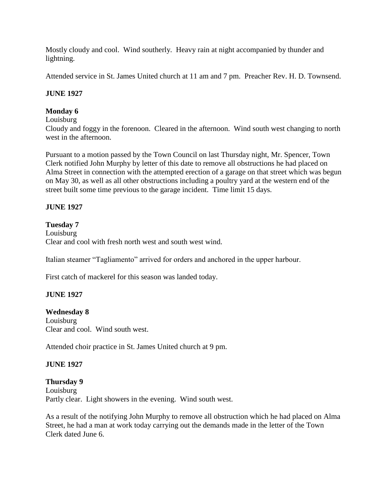Mostly cloudy and cool. Wind southerly. Heavy rain at night accompanied by thunder and lightning.

Attended service in St. James United church at 11 am and 7 pm. Preacher Rev. H. D. Townsend.

## **JUNE 1927**

## **Monday 6**

## Louisburg

Cloudy and foggy in the forenoon. Cleared in the afternoon. Wind south west changing to north west in the afternoon.

Pursuant to a motion passed by the Town Council on last Thursday night, Mr. Spencer, Town Clerk notified John Murphy by letter of this date to remove all obstructions he had placed on Alma Street in connection with the attempted erection of a garage on that street which was begun on May 30, as well as all other obstructions including a poultry yard at the western end of the street built some time previous to the garage incident. Time limit 15 days.

## **JUNE 1927**

## **Tuesday 7**

Louisburg Clear and cool with fresh north west and south west wind.

Italian steamer "Tagliamento" arrived for orders and anchored in the upper harbour.

First catch of mackerel for this season was landed today.

### **JUNE 1927**

### **Wednesday 8**

Louisburg Clear and cool. Wind south west.

Attended choir practice in St. James United church at 9 pm.

### **JUNE 1927**

### **Thursday 9**

Louisburg Partly clear. Light showers in the evening. Wind south west.

As a result of the notifying John Murphy to remove all obstruction which he had placed on Alma Street, he had a man at work today carrying out the demands made in the letter of the Town Clerk dated June 6.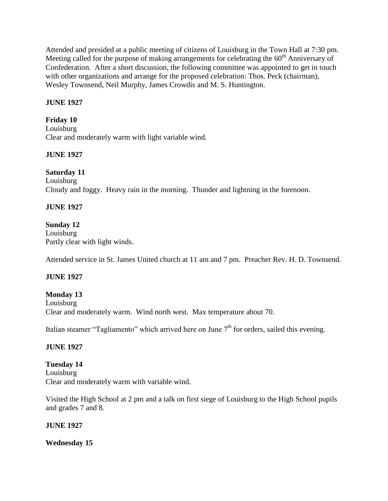Attended and presided at a public meeting of citizens of Louisburg in the Town Hall at 7:30 pm. Meeting called for the purpose of making arrangements for celebrating the  $60<sup>th</sup>$  Anniversary of Confederation. After a short discussion, the following committee was appointed to get in touch with other organizations and arrange for the proposed celebration: Thos. Peck (chairman), Wesley Townsend, Neil Murphy, James Crowdis and M. S. Huntington.

## **JUNE 1927**

## **Friday 10**

Louisburg Clear and moderately warm with light variable wind.

### **JUNE 1927**

## **Saturday 11**

Louisburg Cloudy and foggy. Heavy rain in the morning. Thunder and lightning in the forenoon.

## **JUNE 1927**

## **Sunday 12**

Louisburg Partly clear with light winds.

Attended service in St. James United church at 11 am and 7 pm. Preacher Rev. H. D. Townsend.

### **JUNE 1927**

### **Monday 13**

Louisburg Clear and moderately warm. Wind north west. Max temperature about 70.

Italian steamer "Tagliamento" which arrived here on June  $7<sup>th</sup>$  for orders, sailed this evening.

### **JUNE 1927**

**Tuesday 14** Louisburg Clear and moderately warm with variable wind.

Visited the High School at 2 pm and a talk on first siege of Louisburg to the High School pupils and grades 7 and 8.

### **JUNE 1927**

**Wednesday 15**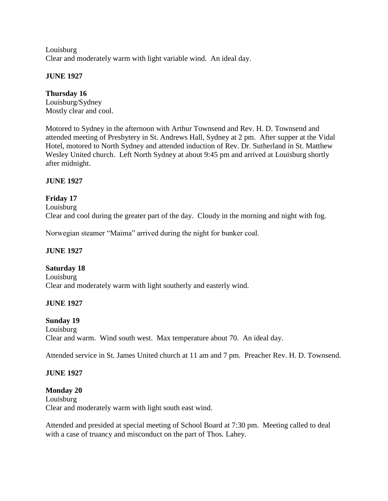Louisburg Clear and moderately warm with light variable wind. An ideal day.

## **JUNE 1927**

# **Thursday 16**

Louisburg/Sydney Mostly clear and cool.

Motored to Sydney in the afternoon with Arthur Townsend and Rev. H. D. Townsend and attended meeting of Presbytery in St. Andrews Hall, Sydney at 2 pm. After supper at the Vidal Hotel, motored to North Sydney and attended induction of Rev. Dr. Sutherland in St. Matthew Wesley United church. Left North Sydney at about 9:45 pm and arrived at Louisburg shortly after midnight.

## **JUNE 1927**

## **Friday 17**

Louisburg Clear and cool during the greater part of the day. Cloudy in the morning and night with fog.

Norwegian steamer "Maima" arrived during the night for bunker coal.

### **JUNE 1927**

### **Saturday 18**

Louisburg Clear and moderately warm with light southerly and easterly wind.

### **JUNE 1927**

### **Sunday 19**

Louisburg Clear and warm. Wind south west. Max temperature about 70. An ideal day.

Attended service in St. James United church at 11 am and 7 pm. Preacher Rev. H. D. Townsend.

### **JUNE 1927**

**Monday 20** Louisburg Clear and moderately warm with light south east wind.

Attended and presided at special meeting of School Board at 7:30 pm. Meeting called to deal with a case of truancy and misconduct on the part of Thos. Lahey.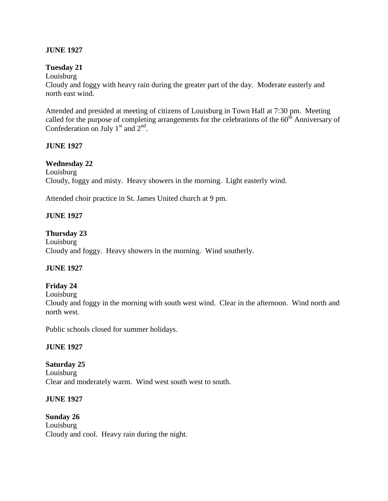#### **JUNE 1927**

#### **Tuesday 21**

Louisburg Cloudy and foggy with heavy rain during the greater part of the day. Moderate easterly and north east wind.

Attended and presided at meeting of citizens of Louisburg in Town Hall at 7:30 pm. Meeting called for the purpose of completing arrangements for the celebrations of the  $60<sup>th</sup>$  Anniversary of Confederation on July  $1<sup>st</sup>$  and  $2<sup>nd</sup>$ .

#### **JUNE 1927**

#### **Wednesday 22**

Louisburg Cloudy, foggy and misty. Heavy showers in the morning. Light easterly wind.

Attended choir practice in St. James United church at 9 pm.

#### **JUNE 1927**

#### **Thursday 23**

Louisburg Cloudy and foggy. Heavy showers in the morning. Wind southerly.

#### **JUNE 1927**

#### **Friday 24**

Louisburg

Cloudy and foggy in the morning with south west wind. Clear in the afternoon. Wind north and north west.

Public schools closed for summer holidays.

#### **JUNE 1927**

#### **Saturday 25**

Louisburg Clear and moderately warm. Wind west south west to south.

#### **JUNE 1927**

**Sunday 26** Louisburg Cloudy and cool. Heavy rain during the night.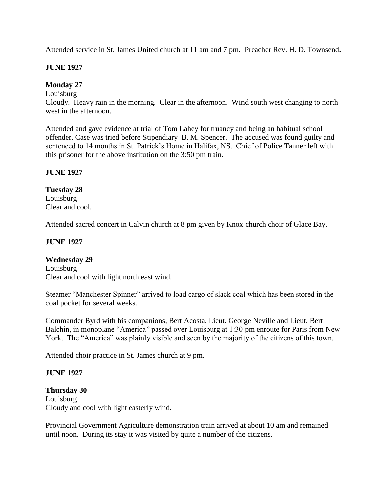Attended service in St. James United church at 11 am and 7 pm. Preacher Rev. H. D. Townsend.

#### **JUNE 1927**

### **Monday 27**

Louisburg

Cloudy. Heavy rain in the morning. Clear in the afternoon. Wind south west changing to north west in the afternoon.

Attended and gave evidence at trial of Tom Lahey for truancy and being an habitual school offender. Case was tried before Stipendiary B. M. Spencer. The accused was found guilty and sentenced to 14 months in St. Patrick's Home in Halifax, NS. Chief of Police Tanner left with this prisoner for the above institution on the 3:50 pm train.

#### **JUNE 1927**

**Tuesday 28** Louisburg Clear and cool.

Attended sacred concert in Calvin church at 8 pm given by Knox church choir of Glace Bay.

### **JUNE 1927**

### **Wednesday 29**

Louisburg Clear and cool with light north east wind.

Steamer "Manchester Spinner" arrived to load cargo of slack coal which has been stored in the coal pocket for several weeks.

Commander Byrd with his companions, Bert Acosta, Lieut. George Neville and Lieut. Bert Balchin, in monoplane "America" passed over Louisburg at 1:30 pm enroute for Paris from New York. The "America" was plainly visible and seen by the majority of the citizens of this town.

Attended choir practice in St. James church at 9 pm.

#### **JUNE 1927**

**Thursday 30** Louisburg Cloudy and cool with light easterly wind.

Provincial Government Agriculture demonstration train arrived at about 10 am and remained until noon. During its stay it was visited by quite a number of the citizens.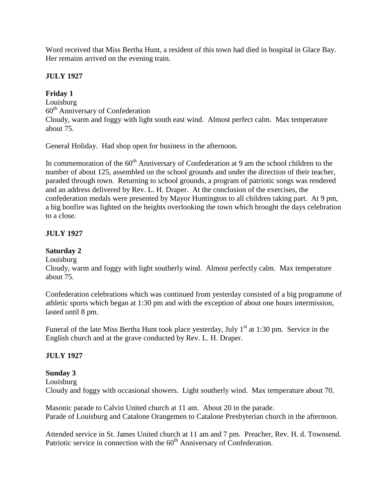Word received that Miss Bertha Hunt, a resident of this town had died in hospital in Glace Bay. Her remains arrived on the evening train.

## **JULY 1927**

# **Friday 1**

Louisburg 60th Anniversary of Confederation Cloudy, warm and foggy with light south east wind. Almost perfect calm. Max temperature about 75.

General Holiday. Had shop open for business in the afternoon.

In commemoration of the  $60<sup>th</sup>$  Anniversary of Confederation at 9 am the school children to the number of about 125, assembled on the school grounds and under the direction of their teacher, paraded through town. Returning to school grounds, a program of patriotic songs was rendered and an address delivered by Rev. L. H. Draper. At the conclusion of the exercises, the confederation medals were presented by Mayor Huntington to all children taking part. At 9 pm, a big bonfire was lighted on the heights overlooking the town which brought the days celebration to a close.

# **JULY 1927**

# **Saturday 2**

Louisburg

Cloudy, warm and foggy with light southerly wind. Almost perfectly calm. Max temperature about 75.

Confederation celebrations which was continued from yesterday consisted of a big programme of athletic sports which began at 1:30 pm and with the exception of about one hours intermission, lasted until 8 pm.

Funeral of the late Miss Bertha Hunt took place yesterday, July  $1<sup>st</sup>$  at 1:30 pm. Service in the English church and at the grave conducted by Rev. L. H. Draper.

# **JULY 1927**

# **Sunday 3**

Louisburg

Cloudy and foggy with occasional showers. Light southerly wind. Max temperature about 70.

Masonic parade to Calvin United church at 11 am. About 20 in the parade. Parade of Louisburg and Catalone Orangemen to Catalone Presbyterian church in the afternoon.

Attended service in St. James United church at 11 am and 7 pm. Preacher, Rev. H. d. Townsend. Patriotic service in connection with the  $60<sup>th</sup>$  Anniversary of Confederation.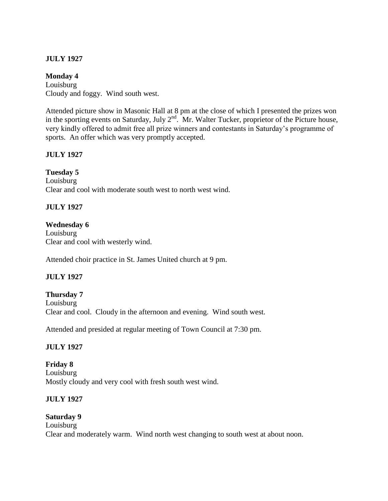#### **Monday 4**

Louisburg Cloudy and foggy. Wind south west.

Attended picture show in Masonic Hall at 8 pm at the close of which I presented the prizes won in the sporting events on Saturday, July  $2<sup>nd</sup>$ . Mr. Walter Tucker, proprietor of the Picture house, very kindly offered to admit free all prize winners and contestants in Saturday's programme of sports. An offer which was very promptly accepted.

## **JULY 1927**

### **Tuesday 5**

Louisburg Clear and cool with moderate south west to north west wind.

## **JULY 1927**

### **Wednesday 6**

Louisburg Clear and cool with westerly wind.

Attended choir practice in St. James United church at 9 pm.

### **JULY 1927**

### **Thursday 7**

Louisburg Clear and cool. Cloudy in the afternoon and evening. Wind south west.

Attended and presided at regular meeting of Town Council at 7:30 pm.

### **JULY 1927**

**Friday 8** Louisburg Mostly cloudy and very cool with fresh south west wind.

### **JULY 1927**

#### **Saturday 9** Louisburg Clear and moderately warm. Wind north west changing to south west at about noon.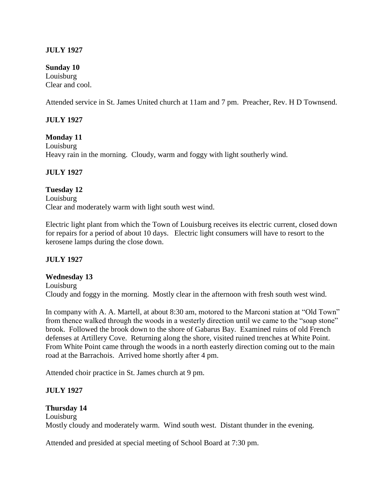**Sunday 10** Louisburg Clear and cool.

Attended service in St. James United church at 11am and 7 pm. Preacher, Rev. H D Townsend.

#### **JULY 1927**

**Monday 11** Louisburg Heavy rain in the morning. Cloudy, warm and foggy with light southerly wind.

#### **JULY 1927**

**Tuesday 12** Louisburg Clear and moderately warm with light south west wind.

Electric light plant from which the Town of Louisburg receives its electric current, closed down for repairs for a period of about 10 days. Electric light consumers will have to resort to the kerosene lamps during the close down.

#### **JULY 1927**

**Wednesday 13**

Louisburg Cloudy and foggy in the morning. Mostly clear in the afternoon with fresh south west wind.

In company with A. A. Martell, at about 8:30 am, motored to the Marconi station at "Old Town" from thence walked through the woods in a westerly direction until we came to the "soap stone" brook. Followed the brook down to the shore of Gabarus Bay. Examined ruins of old French defenses at Artillery Cove. Returning along the shore, visited ruined trenches at White Point. From White Point came through the woods in a north easterly direction coming out to the main road at the Barrachois. Arrived home shortly after 4 pm.

Attended choir practice in St. James church at 9 pm.

### **JULY 1927**

#### **Thursday 14**

Louisburg Mostly cloudy and moderately warm. Wind south west. Distant thunder in the evening.

Attended and presided at special meeting of School Board at 7:30 pm.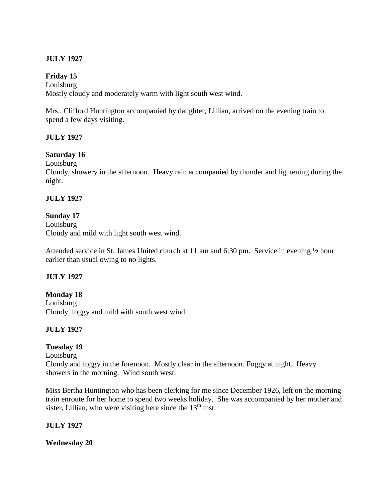### **Friday 15**

Louisburg Mostly cloudy and moderately warm with light south west wind.

Mrs.. Clifford Huntington accompanied by daughter, Lillian, arrived on the evening train to spend a few days visiting.

## **JULY 1927**

### **Saturday 16**

Louisburg

Cloudy, showery in the afternoon. Heavy rain accompanied by thunder and lightening during the night.

### **JULY 1927**

### **Sunday 17**

Louisburg Cloudy and mild with light south west wind.

Attended service in St. James United church at 11 am and 6:30 pm. Service in evening ½ hour earlier than usual owing to no lights.

### **JULY 1927**

**Monday 18** Louisburg Cloudy, foggy and mild with south west wind.

## **JULY 1927**

### **Tuesday 19**

Louisburg Cloudy and foggy in the forenoon. Mostly clear in the afternoon. Foggy at night. Heavy showers in the morning. Wind south west.

Miss Bertha Huntington who has been clerking for me since December 1926, left on the morning train enroute for her home to spend two weeks holiday. She was accompanied by her mother and sister, Lillian, who were visiting here since the  $13<sup>th</sup>$  inst.

### **JULY 1927**

**Wednesday 20**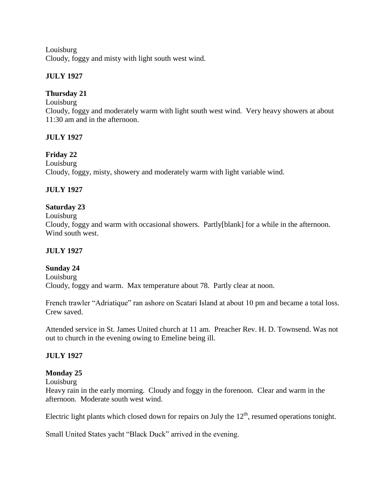Louisburg Cloudy, foggy and misty with light south west wind.

## **JULY 1927**

## **Thursday 21**

Louisburg

Cloudy, foggy and moderately warm with light south west wind. Very heavy showers at about 11:30 am and in the afternoon.

## **JULY 1927**

### **Friday 22**

Louisburg Cloudy, foggy, misty, showery and moderately warm with light variable wind.

## **JULY 1927**

## **Saturday 23**

Louisburg

Cloudy, foggy and warm with occasional showers. Partly[blank] for a while in the afternoon. Wind south west.

### **JULY 1927**

### **Sunday 24**

Louisburg Cloudy, foggy and warm. Max temperature about 78. Partly clear at noon.

French trawler "Adriatique" ran ashore on Scatari Island at about 10 pm and became a total loss. Crew saved.

Attended service in St. James United church at 11 am. Preacher Rev. H. D. Townsend. Was not out to church in the evening owing to Emeline being ill.

### **JULY 1927**

### **Monday 25**

Louisburg

Heavy rain in the early morning. Cloudy and foggy in the forenoon. Clear and warm in the afternoon. Moderate south west wind.

Electric light plants which closed down for repairs on July the  $12<sup>th</sup>$ , resumed operations tonight.

Small United States yacht "Black Duck" arrived in the evening.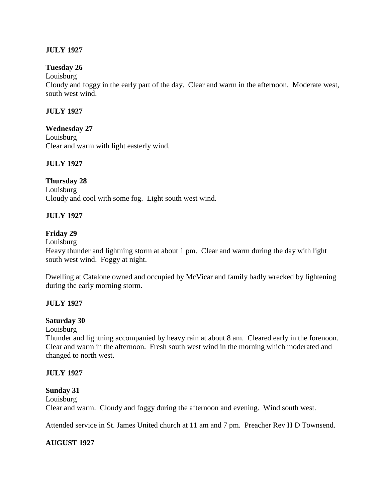#### **Tuesday 26**

Louisburg

Cloudy and foggy in the early part of the day. Clear and warm in the afternoon. Moderate west, south west wind.

#### **JULY 1927**

#### **Wednesday 27**

Louisburg Clear and warm with light easterly wind.

#### **JULY 1927**

#### **Thursday 28**

Louisburg Cloudy and cool with some fog. Light south west wind.

#### **JULY 1927**

#### **Friday 29**

Louisburg

Heavy thunder and lightning storm at about 1 pm. Clear and warm during the day with light south west wind. Foggy at night.

Dwelling at Catalone owned and occupied by McVicar and family badly wrecked by lightening during the early morning storm.

#### **JULY 1927**

#### **Saturday 30**

Louisburg

Thunder and lightning accompanied by heavy rain at about 8 am. Cleared early in the forenoon. Clear and warm in the afternoon. Fresh south west wind in the morning which moderated and changed to north west.

#### **JULY 1927**

#### **Sunday 31**

Louisburg Clear and warm. Cloudy and foggy during the afternoon and evening. Wind south west.

Attended service in St. James United church at 11 am and 7 pm. Preacher Rev H D Townsend.

#### **AUGUST 1927**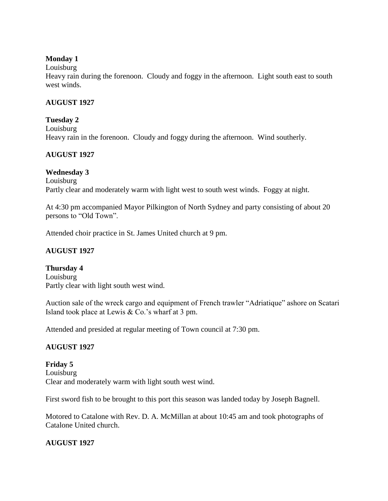### **Monday 1**

Louisburg

Heavy rain during the forenoon. Cloudy and foggy in the afternoon. Light south east to south west winds.

#### **AUGUST 1927**

#### **Tuesday 2**

Louisburg Heavy rain in the forenoon. Cloudy and foggy during the afternoon. Wind southerly.

### **AUGUST 1927**

### **Wednesday 3**

Louisburg Partly clear and moderately warm with light west to south west winds. Foggy at night.

At 4:30 pm accompanied Mayor Pilkington of North Sydney and party consisting of about 20 persons to "Old Town".

Attended choir practice in St. James United church at 9 pm.

## **AUGUST 1927**

**Thursday 4** Louisburg Partly clear with light south west wind.

Auction sale of the wreck cargo and equipment of French trawler "Adriatique" ashore on Scatari Island took place at Lewis & Co.'s wharf at 3 pm.

Attended and presided at regular meeting of Town council at 7:30 pm.

### **AUGUST 1927**

**Friday 5** Louisburg Clear and moderately warm with light south west wind.

First sword fish to be brought to this port this season was landed today by Joseph Bagnell.

Motored to Catalone with Rev. D. A. McMillan at about 10:45 am and took photographs of Catalone United church.

### **AUGUST 1927**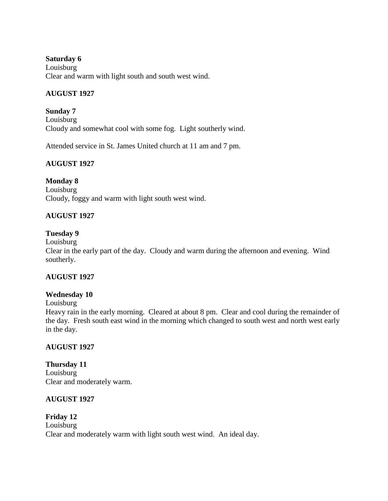#### **Saturday 6**

Louisburg Clear and warm with light south and south west wind.

## **AUGUST 1927**

**Sunday 7** Louisburg Cloudy and somewhat cool with some fog. Light southerly wind.

Attended service in St. James United church at 11 am and 7 pm.

## **AUGUST 1927**

### **Monday 8**

Louisburg Cloudy, foggy and warm with light south west wind.

## **AUGUST 1927**

### **Tuesday 9**

Louisburg

Clear in the early part of the day. Cloudy and warm during the afternoon and evening. Wind southerly.

### **AUGUST 1927**

### **Wednesday 10**

Louisburg

Heavy rain in the early morning. Cleared at about 8 pm. Clear and cool during the remainder of the day. Fresh south east wind in the morning which changed to south west and north west early in the day.

### **AUGUST 1927**

**Thursday 11** Louisburg Clear and moderately warm.

### **AUGUST 1927**

#### **Friday 12** Louisburg Clear and moderately warm with light south west wind. An ideal day.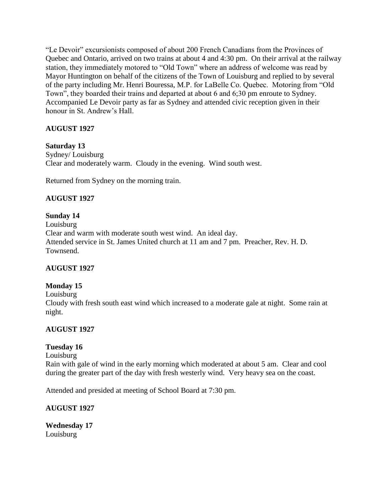"Le Devoir" excursionists composed of about 200 French Canadians from the Provinces of Quebec and Ontario, arrived on two trains at about 4 and 4:30 pm. On their arrival at the railway station, they immediately motored to "Old Town" where an address of welcome was read by Mayor Huntington on behalf of the citizens of the Town of Louisburg and replied to by several of the party including Mr. Henri Bouressa, M.P. for LaBelle Co. Quebec. Motoring from "Old Town", they boarded their trains and departed at about 6 and 6;30 pm enroute to Sydney. Accompanied Le Devoir party as far as Sydney and attended civic reception given in their honour in St. Andrew's Hall.

## **AUGUST 1927**

## **Saturday 13**

Sydney/ Louisburg Clear and moderately warm. Cloudy in the evening. Wind south west.

Returned from Sydney on the morning train.

## **AUGUST 1927**

### **Sunday 14**

Louisburg Clear and warm with moderate south west wind. An ideal day. Attended service in St. James United church at 11 am and 7 pm. Preacher, Rev. H. D. Townsend.

### **AUGUST 1927**

### **Monday 15**

Louisburg

Cloudy with fresh south east wind which increased to a moderate gale at night. Some rain at night.

### **AUGUST 1927**

### **Tuesday 16**

Louisburg

Rain with gale of wind in the early morning which moderated at about 5 am. Clear and cool during the greater part of the day with fresh westerly wind. Very heavy sea on the coast.

Attended and presided at meeting of School Board at 7:30 pm.

### **AUGUST 1927**

**Wednesday 17** Louisburg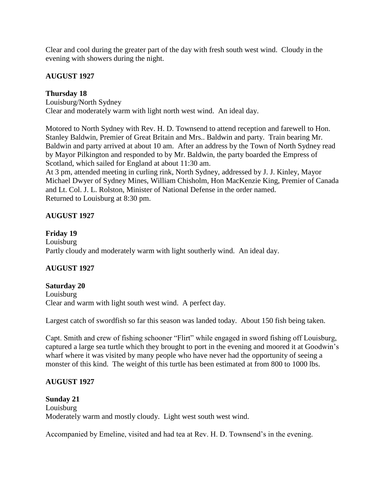Clear and cool during the greater part of the day with fresh south west wind. Cloudy in the evening with showers during the night.

### **AUGUST 1927**

#### **Thursday 18**

Louisburg/North Sydney Clear and moderately warm with light north west wind. An ideal day.

Motored to North Sydney with Rev. H. D. Townsend to attend reception and farewell to Hon. Stanley Baldwin, Premier of Great Britain and Mrs.. Baldwin and party. Train bearing Mr. Baldwin and party arrived at about 10 am. After an address by the Town of North Sydney read by Mayor Pilkington and responded to by Mr. Baldwin, the party boarded the Empress of Scotland, which sailed for England at about 11:30 am.

At 3 pm, attended meeting in curling rink, North Sydney, addressed by J. J. Kinley, Mayor Michael Dwyer of Sydney Mines, William Chisholm, Hon MacKenzie King, Premier of Canada and Lt. Col. J. L. Rolston, Minister of National Defense in the order named. Returned to Louisburg at 8:30 pm.

### **AUGUST 1927**

#### **Friday 19**

Louisburg Partly cloudy and moderately warm with light southerly wind. An ideal day.

### **AUGUST 1927**

# **Saturday 20**

Louisburg Clear and warm with light south west wind. A perfect day.

Largest catch of swordfish so far this season was landed today. About 150 fish being taken.

Capt. Smith and crew of fishing schooner "Flirt" while engaged in sword fishing off Louisburg, captured a large sea turtle which they brought to port in the evening and moored it at Goodwin's wharf where it was visited by many people who have never had the opportunity of seeing a monster of this kind. The weight of this turtle has been estimated at from 800 to 1000 lbs.

### **AUGUST 1927**

#### **Sunday 21** Louisburg Moderately warm and mostly cloudy. Light west south west wind.

Accompanied by Emeline, visited and had tea at Rev. H. D. Townsend's in the evening.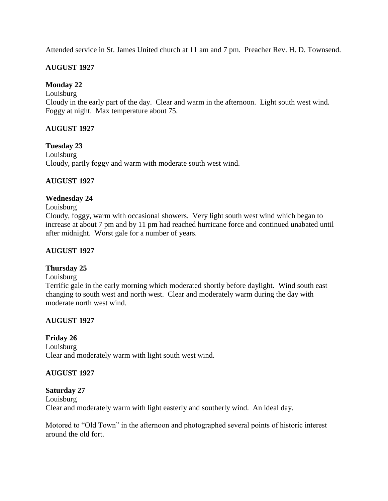Attended service in St. James United church at 11 am and 7 pm. Preacher Rev. H. D. Townsend.

## **AUGUST 1927**

## **Monday 22**

Louisburg

Cloudy in the early part of the day. Clear and warm in the afternoon. Light south west wind. Foggy at night. Max temperature about 75.

### **AUGUST 1927**

**Tuesday 23** Louisburg Cloudy, partly foggy and warm with moderate south west wind.

## **AUGUST 1927**

### **Wednesday 24**

#### Louisburg

Cloudy, foggy, warm with occasional showers. Very light south west wind which began to increase at about 7 pm and by 11 pm had reached hurricane force and continued unabated until after midnight. Worst gale for a number of years.

#### **AUGUST 1927**

### **Thursday 25**

Louisburg

Terrific gale in the early morning which moderated shortly before daylight. Wind south east changing to south west and north west. Clear and moderately warm during the day with moderate north west wind.

### **AUGUST 1927**

#### **Friday 26**

Louisburg Clear and moderately warm with light south west wind.

### **AUGUST 1927**

#### **Saturday 27**

Louisburg Clear and moderately warm with light easterly and southerly wind. An ideal day.

Motored to "Old Town" in the afternoon and photographed several points of historic interest around the old fort.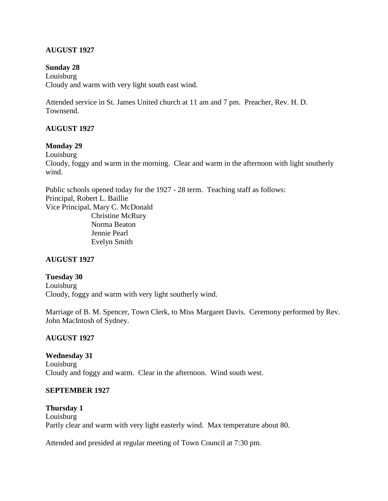### **AUGUST 1927**

#### **Sunday 28**

Louisburg Cloudy and warm with very light south east wind.

Attended service in St. James United church at 11 am and 7 pm. Preacher, Rev. H. D. Townsend.

#### **AUGUST 1927**

#### **Monday 29**

Louisburg

Cloudy, foggy and warm in the morning. Clear and warm in the afternoon with light southerly wind.

Public schools opened today for the 1927 - 28 term. Teaching staff as follows: Principal, Robert L. Baillie Vice Principal, Mary C. McDonald Christine McRury Norma Beaton Jennie Pearl Evelyn Smith

#### **AUGUST 1927**

#### **Tuesday 30**

Louisburg Cloudy, foggy and warm with very light southerly wind.

Marriage of B. M. Spencer, Town Clerk, to Miss Margaret Davis. Ceremony performed by Rev. John MacIntosh of Sydney.

#### **AUGUST 1927**

**Wednesday 31** Louisburg Cloudy and foggy and warm. Clear in the afternoon. Wind south west.

#### **SEPTEMBER 1927**

**Thursday 1** Louisburg Partly clear and warm with very light easterly wind. Max temperature about 80.

Attended and presided at regular meeting of Town Council at 7:30 pm.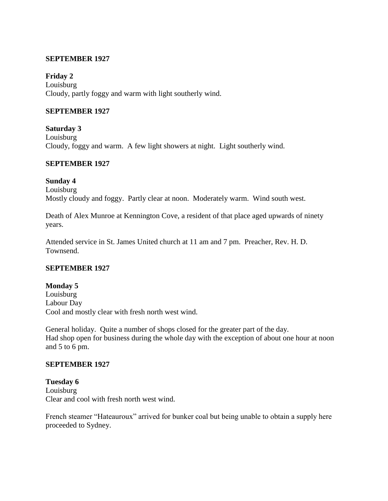#### **SEPTEMBER 1927**

**Friday 2**

Louisburg Cloudy, partly foggy and warm with light southerly wind.

#### **SEPTEMBER 1927**

**Saturday 3** Louisburg Cloudy, foggy and warm. A few light showers at night. Light southerly wind.

#### **SEPTEMBER 1927**

#### **Sunday 4**

Louisburg

Mostly cloudy and foggy. Partly clear at noon. Moderately warm. Wind south west.

Death of Alex Munroe at Kennington Cove, a resident of that place aged upwards of ninety years.

Attended service in St. James United church at 11 am and 7 pm. Preacher, Rev. H. D. Townsend.

#### **SEPTEMBER 1927**

#### **Monday 5**

Louisburg Labour Day Cool and mostly clear with fresh north west wind.

General holiday. Quite a number of shops closed for the greater part of the day. Had shop open for business during the whole day with the exception of about one hour at noon and 5 to 6 pm.

#### **SEPTEMBER 1927**

**Tuesday 6** Louisburg Clear and cool with fresh north west wind.

French steamer "Hateauroux" arrived for bunker coal but being unable to obtain a supply here proceeded to Sydney.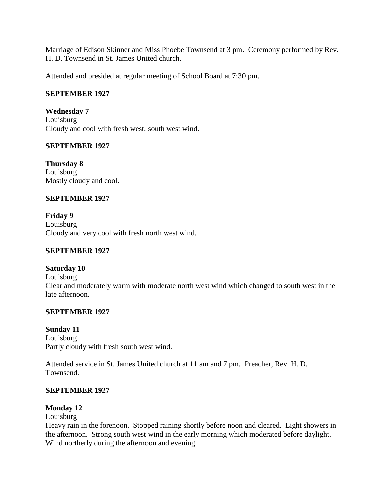Marriage of Edison Skinner and Miss Phoebe Townsend at 3 pm. Ceremony performed by Rev. H. D. Townsend in St. James United church.

Attended and presided at regular meeting of School Board at 7:30 pm.

#### **SEPTEMBER 1927**

**Wednesday 7** Louisburg Cloudy and cool with fresh west, south west wind.

### **SEPTEMBER 1927**

**Thursday 8** Louisburg Mostly cloudy and cool.

#### **SEPTEMBER 1927**

**Friday 9** Louisburg Cloudy and very cool with fresh north west wind.

#### **SEPTEMBER 1927**

#### **Saturday 10**

Louisburg Clear and moderately warm with moderate north west wind which changed to south west in the late afternoon.

#### **SEPTEMBER 1927**

#### **Sunday 11** Louisburg

Partly cloudy with fresh south west wind.

Attended service in St. James United church at 11 am and 7 pm. Preacher, Rev. H. D. Townsend.

### **SEPTEMBER 1927**

### **Monday 12**

#### Louisburg

Heavy rain in the forenoon. Stopped raining shortly before noon and cleared. Light showers in the afternoon. Strong south west wind in the early morning which moderated before daylight. Wind northerly during the afternoon and evening.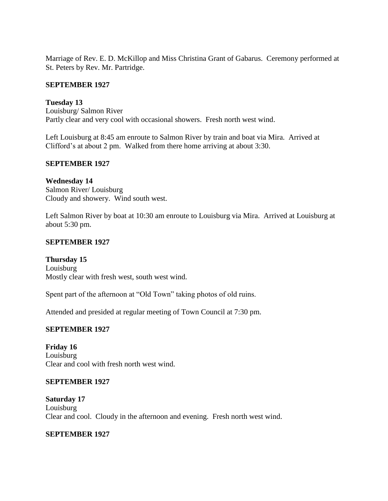Marriage of Rev. E. D. McKillop and Miss Christina Grant of Gabarus. Ceremony performed at St. Peters by Rev. Mr. Partridge.

#### **SEPTEMBER 1927**

**Tuesday 13** Louisburg/ Salmon River Partly clear and very cool with occasional showers. Fresh north west wind.

Left Louisburg at 8:45 am enroute to Salmon River by train and boat via Mira. Arrived at Clifford's at about 2 pm. Walked from there home arriving at about 3:30.

#### **SEPTEMBER 1927**

**Wednesday 14** Salmon River/ Louisburg Cloudy and showery. Wind south west.

Left Salmon River by boat at 10:30 am enroute to Louisburg via Mira. Arrived at Louisburg at about 5:30 pm.

#### **SEPTEMBER 1927**

**Thursday 15** Louisburg Mostly clear with fresh west, south west wind.

Spent part of the afternoon at "Old Town" taking photos of old ruins.

Attended and presided at regular meeting of Town Council at 7:30 pm.

### **SEPTEMBER 1927**

**Friday 16** Louisburg Clear and cool with fresh north west wind.

#### **SEPTEMBER 1927**

**Saturday 17** Louisburg Clear and cool. Cloudy in the afternoon and evening. Fresh north west wind.

### **SEPTEMBER 1927**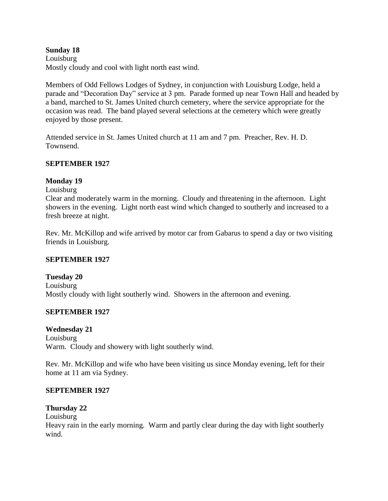#### **Sunday 18**

Louisburg Mostly cloudy and cool with light north east wind.

Members of Odd Fellows Lodges of Sydney, in conjunction with Louisburg Lodge, held a parade and "Decoration Day" service at 3 pm. Parade formed up near Town Hall and headed by a band, marched to St. James United church cemetery, where the service appropriate for the occasion was read. The band played several selections at the cemetery which were greatly enjoyed by those present.

Attended service in St. James United church at 11 am and 7 pm. Preacher, Rev. H. D. Townsend.

### **SEPTEMBER 1927**

### **Monday 19**

Louisburg

Clear and moderately warm in the morning. Cloudy and threatening in the afternoon. Light showers in the evening. Light north east wind which changed to southerly and increased to a fresh breeze at night.

Rev. Mr. McKillop and wife arrived by motor car from Gabarus to spend a day or two visiting friends in Louisburg.

### **SEPTEMBER 1927**

### **Tuesday 20**

Louisburg Mostly cloudy with light southerly wind. Showers in the afternoon and evening.

### **SEPTEMBER 1927**

### **Wednesday 21**

Louisburg Warm. Cloudy and showery with light southerly wind.

Rev. Mr. McKillop and wife who have been visiting us since Monday evening, left for their home at 11 am via Sydney.

### **SEPTEMBER 1927**

## **Thursday 22**

Louisburg

Heavy rain in the early morning. Warm and partly clear during the day with light southerly wind.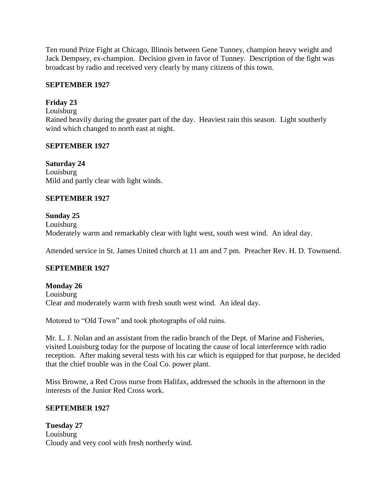Ten round Prize Fight at Chicago, Illinois between Gene Tunney, champion heavy weight and Jack Dempsey, ex-champion. Decision given in favor of Tunney. Description of the fight was broadcast by radio and received very clearly by many citizens of this town.

#### **SEPTEMBER 1927**

### **Friday 23**

Louisburg

Rained heavily during the greater part of the day. Heaviest rain this season. Light southerly wind which changed to north east at night.

### **SEPTEMBER 1927**

**Saturday 24** Louisburg Mild and partly clear with light winds.

#### **SEPTEMBER 1927**

### **Sunday 25**

Louisburg Moderately warm and remarkably clear with light west, south west wind. An ideal day.

Attended service in St. James United church at 11 am and 7 pm. Preacher Rev. H. D. Townsend.

### **SEPTEMBER 1927**

**Monday 26** Louisburg Clear and moderately warm with fresh south west wind. An ideal day.

Motored to "Old Town" and took photographs of old ruins.

Mr. L. J. Nolan and an assistant from the radio branch of the Dept. of Marine and Fisheries, visited Louisburg today for the purpose of locating the cause of local interference with radio reception. After making several tests with his car which is equipped for that purpose, he decided that the chief trouble was in the Coal Co. power plant.

Miss Browne, a Red Cross nurse from Halifax, addressed the schools in the afternoon in the interests of the Junior Red Cross work.

### **SEPTEMBER 1927**

**Tuesday 27** Louisburg Cloudy and very cool with fresh northerly wind.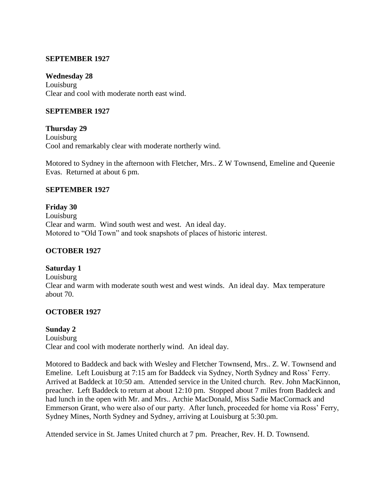#### **SEPTEMBER 1927**

#### **Wednesday 28**

Louisburg Clear and cool with moderate north east wind.

#### **SEPTEMBER 1927**

**Thursday 29** Louisburg Cool and remarkably clear with moderate northerly wind.

Motored to Sydney in the afternoon with Fletcher, Mrs.. Z W Townsend, Emeline and Queenie Evas. Returned at about 6 pm.

#### **SEPTEMBER 1927**

**Friday 30** Louisburg Clear and warm. Wind south west and west. An ideal day. Motored to "Old Town" and took snapshots of places of historic interest.

#### **OCTOBER 1927**

#### **Saturday 1**

Louisburg Clear and warm with moderate south west and west winds. An ideal day. Max temperature about 70.

#### **OCTOBER 1927**

#### **Sunday 2**

Louisburg Clear and cool with moderate northerly wind. An ideal day.

Motored to Baddeck and back with Wesley and Fletcher Townsend, Mrs.. Z. W. Townsend and Emeline. Left Louisburg at 7:15 am for Baddeck via Sydney, North Sydney and Ross' Ferry. Arrived at Baddeck at 10:50 am. Attended service in the United church. Rev. John MacKinnon, preacher. Left Baddeck to return at about 12:10 pm. Stopped about 7 miles from Baddeck and had lunch in the open with Mr. and Mrs.. Archie MacDonald, Miss Sadie MacCormack and Emmerson Grant, who were also of our party. After lunch, proceeded for home via Ross' Ferry, Sydney Mines, North Sydney and Sydney, arriving at Louisburg at 5:30.pm.

Attended service in St. James United church at 7 pm. Preacher, Rev. H. D. Townsend.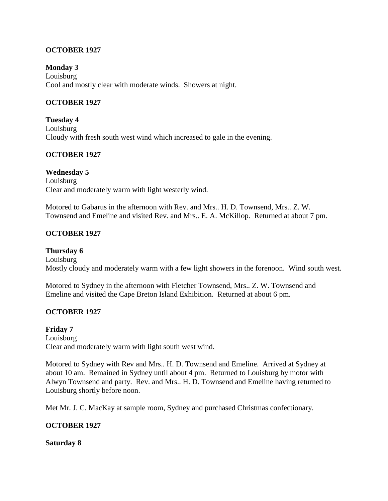#### **OCTOBER 1927**

**Monday 3** Louisburg Cool and mostly clear with moderate winds. Showers at night.

#### **OCTOBER 1927**

**Tuesday 4** Louisburg Cloudy with fresh south west wind which increased to gale in the evening.

#### **OCTOBER 1927**

#### **Wednesday 5**

Louisburg Clear and moderately warm with light westerly wind.

Motored to Gabarus in the afternoon with Rev. and Mrs.. H. D. Townsend, Mrs.. Z. W. Townsend and Emeline and visited Rev. and Mrs.. E. A. McKillop. Returned at about 7 pm.

#### **OCTOBER 1927**

**Thursday 6** Louisburg Mostly cloudy and moderately warm with a few light showers in the forenoon. Wind south west.

Motored to Sydney in the afternoon with Fletcher Townsend, Mrs.. Z. W. Townsend and Emeline and visited the Cape Breton Island Exhibition. Returned at about 6 pm.

#### **OCTOBER 1927**

**Friday 7** Louisburg Clear and moderately warm with light south west wind.

Motored to Sydney with Rev and Mrs.. H. D. Townsend and Emeline. Arrived at Sydney at about 10 am. Remained in Sydney until about 4 pm. Returned to Louisburg by motor with Alwyn Townsend and party. Rev. and Mrs.. H. D. Townsend and Emeline having returned to Louisburg shortly before noon.

Met Mr. J. C. MacKay at sample room, Sydney and purchased Christmas confectionary.

#### **OCTOBER 1927**

**Saturday 8**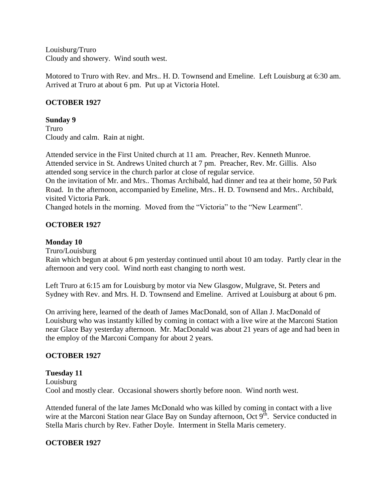Louisburg/Truro Cloudy and showery. Wind south west.

Motored to Truro with Rev. and Mrs.. H. D. Townsend and Emeline. Left Louisburg at 6:30 am. Arrived at Truro at about 6 pm. Put up at Victoria Hotel.

### **OCTOBER 1927**

#### **Sunday 9**

Truro Cloudy and calm. Rain at night.

Attended service in the First United church at 11 am. Preacher, Rev. Kenneth Munroe. Attended service in St. Andrews United church at 7 pm. Preacher, Rev. Mr. Gillis. Also attended song service in the church parlor at close of regular service.

On the invitation of Mr. and Mrs.. Thomas Archibald, had dinner and tea at their home, 50 Park Road. In the afternoon, accompanied by Emeline, Mrs.. H. D. Townsend and Mrs.. Archibald, visited Victoria Park.

Changed hotels in the morning. Moved from the "Victoria" to the "New Learment".

## **OCTOBER 1927**

#### **Monday 10**

Truro/Louisburg

Rain which begun at about 6 pm yesterday continued until about 10 am today. Partly clear in the afternoon and very cool. Wind north east changing to north west.

Left Truro at 6:15 am for Louisburg by motor via New Glasgow, Mulgrave, St. Peters and Sydney with Rev. and Mrs. H. D. Townsend and Emeline. Arrived at Louisburg at about 6 pm.

On arriving here, learned of the death of James MacDonald, son of Allan J. MacDonald of Louisburg who was instantly killed by coming in contact with a live wire at the Marconi Station near Glace Bay yesterday afternoon. Mr. MacDonald was about 21 years of age and had been in the employ of the Marconi Company for about 2 years.

### **OCTOBER 1927**

#### **Tuesday 11** Louisburg Cool and mostly clear. Occasional showers shortly before noon. Wind north west.

Attended funeral of the late James McDonald who was killed by coming in contact with a live wire at the Marconi Station near Glace Bay on Sunday afternoon, Oct  $9<sup>th</sup>$ . Service conducted in Stella Maris church by Rev. Father Doyle. Interment in Stella Maris cemetery.

### **OCTOBER 1927**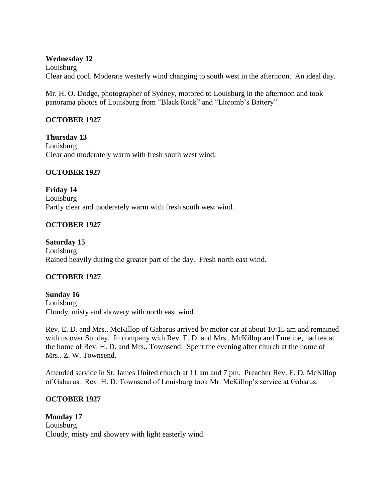#### **Wednesday 12**

Louisburg Clear and cool. Moderate westerly wind changing to south west in the afternoon. An ideal day.

Mr. H. O. Dodge, photographer of Sydney, motored to Louisburg in the afternoon and took panorama photos of Louisburg from "Black Rock" and "Litcomb's Battery".

## **OCTOBER 1927**

**Thursday 13** Louisburg Clear and moderately warm with fresh south west wind.

### **OCTOBER 1927**

**Friday 14** Louisburg Partly clear and moderately warm with fresh south west wind.

### **OCTOBER 1927**

**Saturday 15** Louisburg Rained heavily during the greater part of the day. Fresh north east wind.

### **OCTOBER 1927**

**Sunday 16** Louisburg Cloudy, misty and showery with north east wind.

Rev. E. D. and Mrs.. McKillop of Gabarus arrived by motor car at about 10:15 am and remained with us over Sunday. In company with Rev. E. D. and Mrs.. McKillop and Emeline, had tea at the home of Rev. H. D. and Mrs.. Townsend. Spent the evening after church at the home of Mrs.. Z. W. Townsend.

Attended service in St. James United church at 11 am and 7 pm. Preacher Rev. E. D. McKillop of Gabarus. Rev. H. D. Townsend of Louisburg took Mr. McKillop's service at Gabarus.

### **OCTOBER 1927**

**Monday 17** Louisburg Cloudy, misty and showery with light easterly wind.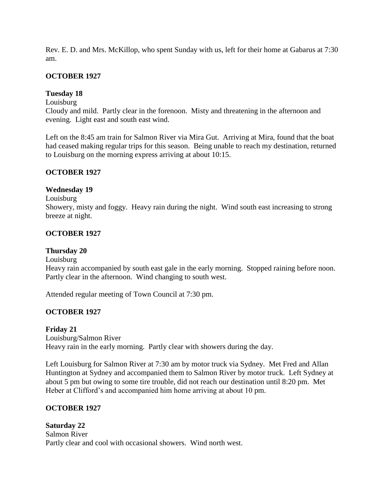Rev. E. D. and Mrs. McKillop, who spent Sunday with us, left for their home at Gabarus at 7:30 am.

### **OCTOBER 1927**

## **Tuesday 18**

Louisburg

Cloudy and mild. Partly clear in the forenoon. Misty and threatening in the afternoon and evening. Light east and south east wind.

Left on the 8:45 am train for Salmon River via Mira Gut. Arriving at Mira, found that the boat had ceased making regular trips for this season. Being unable to reach my destination, returned to Louisburg on the morning express arriving at about 10:15.

### **OCTOBER 1927**

#### **Wednesday 19**

Louisburg Showery, misty and foggy. Heavy rain during the night. Wind south east increasing to strong breeze at night.

### **OCTOBER 1927**

#### **Thursday 20**

Louisburg

Heavy rain accompanied by south east gale in the early morning. Stopped raining before noon. Partly clear in the afternoon. Wind changing to south west.

Attended regular meeting of Town Council at 7:30 pm.

### **OCTOBER 1927**

**Friday 21**

Louisburg/Salmon River

Heavy rain in the early morning. Partly clear with showers during the day.

Left Louisburg for Salmon River at 7:30 am by motor truck via Sydney. Met Fred and Allan Huntington at Sydney and accompanied them to Salmon River by motor truck. Left Sydney at about 5 pm but owing to some tire trouble, did not reach our destination until 8:20 pm. Met Heber at Clifford's and accompanied him home arriving at about 10 pm.

### **OCTOBER 1927**

**Saturday 22** Salmon River Partly clear and cool with occasional showers. Wind north west.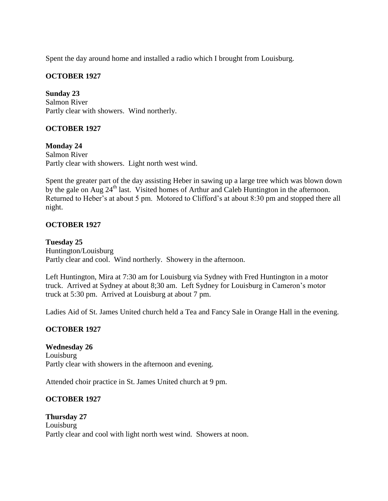Spent the day around home and installed a radio which I brought from Louisburg.

### **OCTOBER 1927**

**Sunday 23** Salmon River Partly clear with showers. Wind northerly.

## **OCTOBER 1927**

**Monday 24** Salmon River Partly clear with showers. Light north west wind.

Spent the greater part of the day assisting Heber in sawing up a large tree which was blown down by the gale on Aug  $24<sup>th</sup>$  last. Visited homes of Arthur and Caleb Huntington in the afternoon. Returned to Heber's at about 5 pm. Motored to Clifford's at about 8:30 pm and stopped there all night.

## **OCTOBER 1927**

**Tuesday 25** Huntington/Louisburg Partly clear and cool. Wind northerly. Showery in the afternoon.

Left Huntington, Mira at 7:30 am for Louisburg via Sydney with Fred Huntington in a motor truck. Arrived at Sydney at about 8;30 am. Left Sydney for Louisburg in Cameron's motor truck at 5:30 pm. Arrived at Louisburg at about 7 pm.

Ladies Aid of St. James United church held a Tea and Fancy Sale in Orange Hall in the evening.

### **OCTOBER 1927**

**Wednesday 26** Louisburg Partly clear with showers in the afternoon and evening.

Attended choir practice in St. James United church at 9 pm.

### **OCTOBER 1927**

**Thursday 27** Louisburg Partly clear and cool with light north west wind. Showers at noon.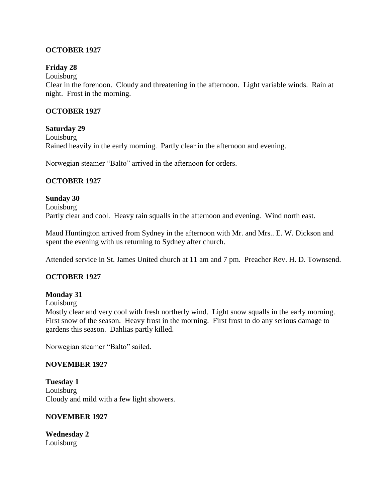### **OCTOBER 1927**

#### **Friday 28**

Louisburg

Clear in the forenoon. Cloudy and threatening in the afternoon. Light variable winds. Rain at night. Frost in the morning.

#### **OCTOBER 1927**

#### **Saturday 29**

Louisburg Rained heavily in the early morning. Partly clear in the afternoon and evening.

Norwegian steamer "Balto" arrived in the afternoon for orders.

### **OCTOBER 1927**

#### **Sunday 30**

Louisburg Partly clear and cool. Heavy rain squalls in the afternoon and evening. Wind north east.

Maud Huntington arrived from Sydney in the afternoon with Mr. and Mrs.. E. W. Dickson and spent the evening with us returning to Sydney after church.

Attended service in St. James United church at 11 am and 7 pm. Preacher Rev. H. D. Townsend.

### **OCTOBER 1927**

#### **Monday 31**

Louisburg

Mostly clear and very cool with fresh northerly wind. Light snow squalls in the early morning. First snow of the season. Heavy frost in the morning. First frost to do any serious damage to gardens this season. Dahlias partly killed.

Norwegian steamer "Balto" sailed.

#### **NOVEMBER 1927**

**Tuesday 1** Louisburg Cloudy and mild with a few light showers.

#### **NOVEMBER 1927**

**Wednesday 2** Louisburg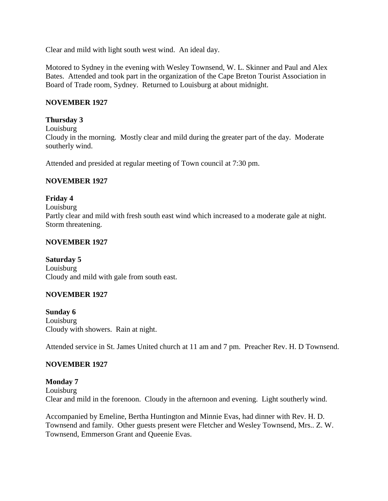Clear and mild with light south west wind. An ideal day.

Motored to Sydney in the evening with Wesley Townsend, W. L. Skinner and Paul and Alex Bates. Attended and took part in the organization of the Cape Breton Tourist Association in Board of Trade room, Sydney. Returned to Louisburg at about midnight.

#### **NOVEMBER 1927**

#### **Thursday 3**

Louisburg Cloudy in the morning. Mostly clear and mild during the greater part of the day. Moderate southerly wind.

Attended and presided at regular meeting of Town council at 7:30 pm.

#### **NOVEMBER 1927**

### **Friday 4** Louisburg Partly clear and mild with fresh south east wind which increased to a moderate gale at night. Storm threatening.

#### **NOVEMBER 1927**

**Saturday 5** Louisburg Cloudy and mild with gale from south east.

### **NOVEMBER 1927**

**Sunday 6** Louisburg Cloudy with showers. Rain at night.

Attended service in St. James United church at 11 am and 7 pm. Preacher Rev. H. D Townsend.

### **NOVEMBER 1927**

#### **Monday 7**

Louisburg Clear and mild in the forenoon. Cloudy in the afternoon and evening. Light southerly wind.

Accompanied by Emeline, Bertha Huntington and Minnie Evas, had dinner with Rev. H. D. Townsend and family. Other guests present were Fletcher and Wesley Townsend, Mrs.. Z. W. Townsend, Emmerson Grant and Queenie Evas.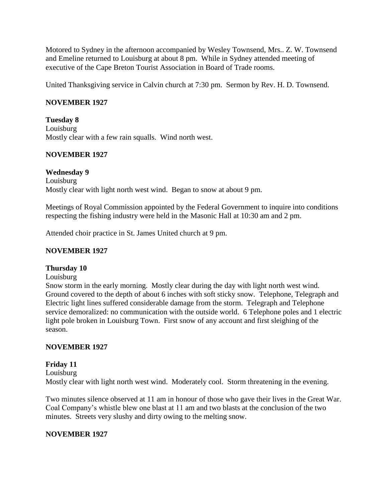Motored to Sydney in the afternoon accompanied by Wesley Townsend, Mrs.. Z. W. Townsend and Emeline returned to Louisburg at about 8 pm. While in Sydney attended meeting of executive of the Cape Breton Tourist Association in Board of Trade rooms.

United Thanksgiving service in Calvin church at 7:30 pm. Sermon by Rev. H. D. Townsend.

#### **NOVEMBER 1927**

**Tuesday 8** Louisburg Mostly clear with a few rain squalls. Wind north west.

#### **NOVEMBER 1927**

#### **Wednesday 9**

Louisburg Mostly clear with light north west wind. Began to snow at about 9 pm.

Meetings of Royal Commission appointed by the Federal Government to inquire into conditions respecting the fishing industry were held in the Masonic Hall at 10:30 am and 2 pm.

Attended choir practice in St. James United church at 9 pm.

#### **NOVEMBER 1927**

#### **Thursday 10**

Louisburg

Snow storm in the early morning. Mostly clear during the day with light north west wind. Ground covered to the depth of about 6 inches with soft sticky snow. Telephone, Telegraph and Electric light lines suffered considerable damage from the storm. Telegraph and Telephone service demoralized: no communication with the outside world. 6 Telephone poles and 1 electric light pole broken in Louisburg Town. First snow of any account and first sleighing of the season.

#### **NOVEMBER 1927**

#### **Friday 11**

Louisburg Mostly clear with light north west wind. Moderately cool. Storm threatening in the evening.

Two minutes silence observed at 11 am in honour of those who gave their lives in the Great War. Coal Company's whistle blew one blast at 11 am and two blasts at the conclusion of the two minutes. Streets very slushy and dirty owing to the melting snow.

#### **NOVEMBER 1927**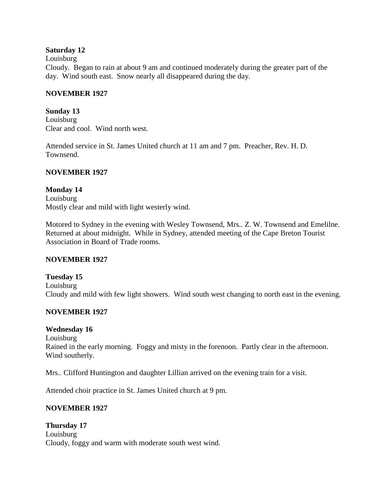#### **Saturday 12**

Louisburg

Cloudy. Began to rain at about 9 am and continued moderately during the greater part of the day. Wind south east. Snow nearly all disappeared during the day.

#### **NOVEMBER 1927**

**Sunday 13** Louisburg Clear and cool. Wind north west.

Attended service in St. James United church at 11 am and 7 pm. Preacher, Rev. H. D. Townsend.

### **NOVEMBER 1927**

#### **Monday 14** Louisburg

Mostly clear and mild with light westerly wind.

Motored to Sydney in the evening with Wesley Townsend, Mrs.. Z. W. Townsend and Emelilne. Returned at about midnight. While in Sydney, attended meeting of the Cape Breton Tourist Association in Board of Trade rooms.

### **NOVEMBER 1927**

**Tuesday 15** Louisburg Cloudy and mild with few light showers. Wind south west changing to north east in the evening.

### **NOVEMBER 1927**

### **Wednesday 16**

Louisburg Rained in the early morning. Foggy and misty in the forenoon. Partly clear in the afternoon. Wind southerly.

Mrs.. Clifford Huntington and daughter Lillian arrived on the evening train for a visit.

Attended choir practice in St. James United church at 9 pm.

### **NOVEMBER 1927**

**Thursday 17** Louisburg Cloudy, foggy and warm with moderate south west wind.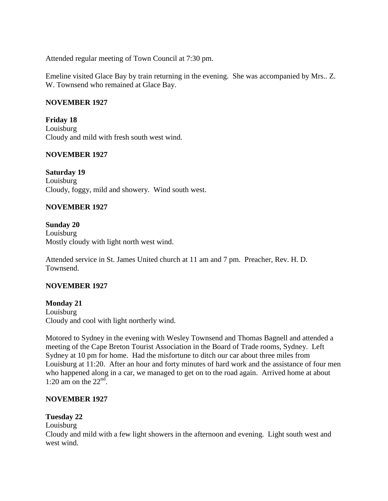Attended regular meeting of Town Council at 7:30 pm.

Emeline visited Glace Bay by train returning in the evening. She was accompanied by Mrs.. Z. W. Townsend who remained at Glace Bay.

#### **NOVEMBER 1927**

**Friday 18** Louisburg Cloudy and mild with fresh south west wind.

#### **NOVEMBER 1927**

**Saturday 19** Louisburg Cloudy, foggy, mild and showery. Wind south west.

#### **NOVEMBER 1927**

**Sunday 20** Louisburg Mostly cloudy with light north west wind.

Attended service in St. James United church at 11 am and 7 pm. Preacher, Rev. H. D. Townsend.

#### **NOVEMBER 1927**

**Monday 21** Louisburg Cloudy and cool with light northerly wind.

Motored to Sydney in the evening with Wesley Townsend and Thomas Bagnell and attended a meeting of the Cape Breton Tourist Association in the Board of Trade rooms, Sydney. Left Sydney at 10 pm for home. Had the misfortune to ditch our car about three miles from Louisburg at 11:20. After an hour and forty minutes of hard work and the assistance of four men who happened along in a car, we managed to get on to the road again. Arrived home at about 1:20 am on the  $22<sup>nd</sup>$ .

#### **NOVEMBER 1927**

#### **Tuesday 22**

#### Louisburg

Cloudy and mild with a few light showers in the afternoon and evening. Light south west and west wind.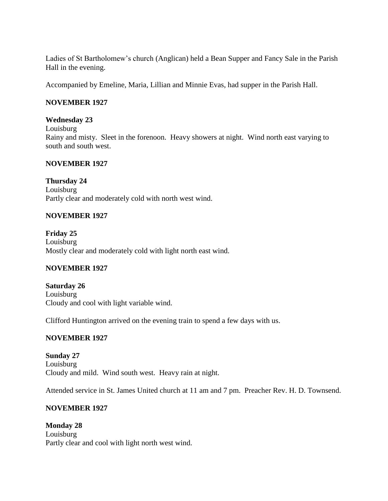Ladies of St Bartholomew's church (Anglican) held a Bean Supper and Fancy Sale in the Parish Hall in the evening.

Accompanied by Emeline, Maria, Lillian and Minnie Evas, had supper in the Parish Hall.

#### **NOVEMBER 1927**

#### **Wednesday 23**

Louisburg Rainy and misty. Sleet in the forenoon. Heavy showers at night. Wind north east varying to south and south west.

#### **NOVEMBER 1927**

**Thursday 24** Louisburg Partly clear and moderately cold with north west wind.

#### **NOVEMBER 1927**

**Friday 25** Louisburg Mostly clear and moderately cold with light north east wind.

### **NOVEMBER 1927**

**Saturday 26** Louisburg Cloudy and cool with light variable wind.

Clifford Huntington arrived on the evening train to spend a few days with us.

#### **NOVEMBER 1927**

**Sunday 27** Louisburg Cloudy and mild. Wind south west. Heavy rain at night.

Attended service in St. James United church at 11 am and 7 pm. Preacher Rev. H. D. Townsend.

### **NOVEMBER 1927**

**Monday 28** Louisburg Partly clear and cool with light north west wind.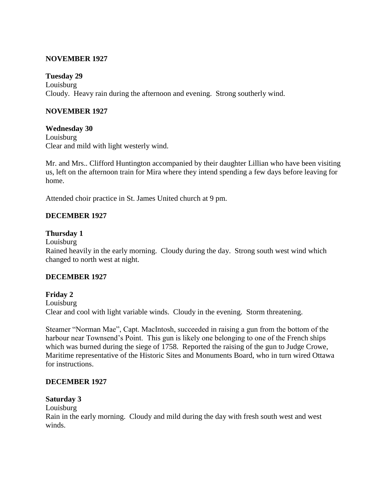#### **NOVEMBER 1927**

#### **Tuesday 29**

Louisburg Cloudy. Heavy rain during the afternoon and evening. Strong southerly wind.

#### **NOVEMBER 1927**

#### **Wednesday 30**

Louisburg Clear and mild with light westerly wind.

Mr. and Mrs.. Clifford Huntington accompanied by their daughter Lillian who have been visiting us, left on the afternoon train for Mira where they intend spending a few days before leaving for home.

Attended choir practice in St. James United church at 9 pm.

#### **DECEMBER 1927**

#### **Thursday 1**

Louisburg

Rained heavily in the early morning. Cloudy during the day. Strong south west wind which changed to north west at night.

#### **DECEMBER 1927**

#### **Friday 2**

Louisburg

Clear and cool with light variable winds. Cloudy in the evening. Storm threatening.

Steamer "Norman Mae", Capt. MacIntosh, succeeded in raising a gun from the bottom of the harbour near Townsend's Point. This gun is likely one belonging to one of the French ships which was burned during the siege of 1758. Reported the raising of the gun to Judge Crowe, Maritime representative of the Historic Sites and Monuments Board, who in turn wired Ottawa for instructions.

#### **DECEMBER 1927**

#### **Saturday 3**

Louisburg Rain in the early morning. Cloudy and mild during the day with fresh south west and west winds.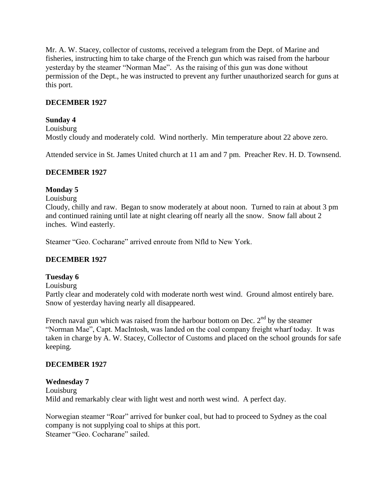Mr. A. W. Stacey, collector of customs, received a telegram from the Dept. of Marine and fisheries, instructing him to take charge of the French gun which was raised from the harbour yesterday by the steamer "Norman Mae". As the raising of this gun was done without permission of the Dept., he was instructed to prevent any further unauthorized search for guns at this port.

### **DECEMBER 1927**

#### **Sunday 4**

Louisburg Mostly cloudy and moderately cold. Wind northerly. Min temperature about 22 above zero.

Attended service in St. James United church at 11 am and 7 pm. Preacher Rev. H. D. Townsend.

#### **DECEMBER 1927**

#### **Monday 5**

Louisburg

Cloudy, chilly and raw. Began to snow moderately at about noon. Turned to rain at about 3 pm and continued raining until late at night clearing off nearly all the snow. Snow fall about 2 inches. Wind easterly.

Steamer "Geo. Cocharane" arrived enroute from Nfld to New York.

#### **DECEMBER 1927**

#### **Tuesday 6**

Louisburg

Partly clear and moderately cold with moderate north west wind. Ground almost entirely bare. Snow of yesterday having nearly all disappeared.

French naval gun which was raised from the harbour bottom on Dec.  $2<sup>nd</sup>$  by the steamer "Norman Mae", Capt. MacIntosh, was landed on the coal company freight wharf today. It was taken in charge by A. W. Stacey, Collector of Customs and placed on the school grounds for safe keeping.

#### **DECEMBER 1927**

#### **Wednesday 7**

Louisburg Mild and remarkably clear with light west and north west wind. A perfect day.

Norwegian steamer "Roar" arrived for bunker coal, but had to proceed to Sydney as the coal company is not supplying coal to ships at this port. Steamer "Geo. Cocharane" sailed.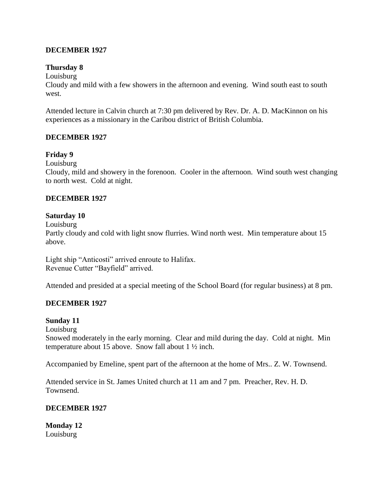#### **DECEMBER 1927**

#### **Thursday 8**

Louisburg

Cloudy and mild with a few showers in the afternoon and evening. Wind south east to south west.

Attended lecture in Calvin church at 7:30 pm delivered by Rev. Dr. A. D. MacKinnon on his experiences as a missionary in the Caribou district of British Columbia.

#### **DECEMBER 1927**

#### **Friday 9**

Louisburg

Cloudy, mild and showery in the forenoon. Cooler in the afternoon. Wind south west changing to north west. Cold at night.

#### **DECEMBER 1927**

#### **Saturday 10**

Louisburg

Partly cloudy and cold with light snow flurries. Wind north west. Min temperature about 15 above.

Light ship "Anticosti" arrived enroute to Halifax. Revenue Cutter "Bayfield" arrived.

Attended and presided at a special meeting of the School Board (for regular business) at 8 pm.

### **DECEMBER 1927**

#### **Sunday 11**

Louisburg

Snowed moderately in the early morning. Clear and mild during the day. Cold at night. Min temperature about 15 above. Snow fall about 1 ½ inch.

Accompanied by Emeline, spent part of the afternoon at the home of Mrs.. Z. W. Townsend.

Attended service in St. James United church at 11 am and 7 pm. Preacher, Rev. H. D. Townsend.

#### **DECEMBER 1927**

**Monday 12** Louisburg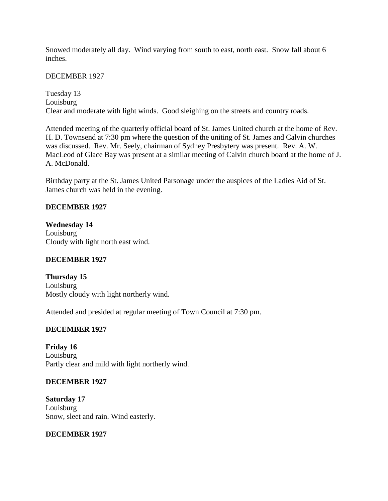Snowed moderately all day. Wind varying from south to east, north east. Snow fall about 6 inches.

DECEMBER 1927

Tuesday 13 Louisburg Clear and moderate with light winds. Good sleighing on the streets and country roads.

Attended meeting of the quarterly official board of St. James United church at the home of Rev. H. D. Townsend at 7:30 pm where the question of the uniting of St. James and Calvin churches was discussed. Rev. Mr. Seely, chairman of Sydney Presbytery was present. Rev. A. W. MacLeod of Glace Bay was present at a similar meeting of Calvin church board at the home of J. A. McDonald.

Birthday party at the St. James United Parsonage under the auspices of the Ladies Aid of St. James church was held in the evening.

### **DECEMBER 1927**

**Wednesday 14** Louisburg Cloudy with light north east wind.

### **DECEMBER 1927**

**Thursday 15** Louisburg Mostly cloudy with light northerly wind.

Attended and presided at regular meeting of Town Council at 7:30 pm.

### **DECEMBER 1927**

**Friday 16** Louisburg Partly clear and mild with light northerly wind.

### **DECEMBER 1927**

**Saturday 17** Louisburg Snow, sleet and rain. Wind easterly.

### **DECEMBER 1927**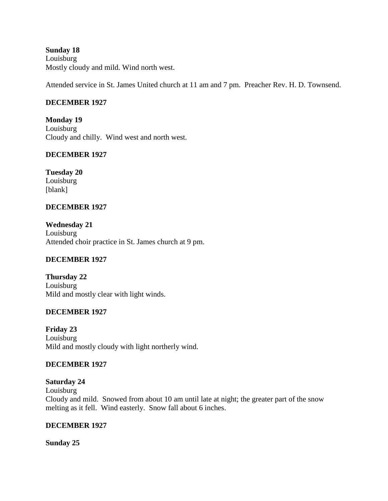### **Sunday 18** Louisburg Mostly cloudy and mild. Wind north west.

Attended service in St. James United church at 11 am and 7 pm. Preacher Rev. H. D. Townsend.

### **DECEMBER 1927**

**Monday 19** Louisburg Cloudy and chilly. Wind west and north west.

### **DECEMBER 1927**

**Tuesday 20** Louisburg [blank]

### **DECEMBER 1927**

**Wednesday 21** Louisburg Attended choir practice in St. James church at 9 pm.

## **DECEMBER 1927**

**Thursday 22** Louisburg Mild and mostly clear with light winds.

### **DECEMBER 1927**

**Friday 23** Louisburg Mild and mostly cloudy with light northerly wind.

### **DECEMBER 1927**

**Saturday 24**

Louisburg Cloudy and mild. Snowed from about 10 am until late at night; the greater part of the snow melting as it fell. Wind easterly. Snow fall about 6 inches.

### **DECEMBER 1927**

**Sunday 25**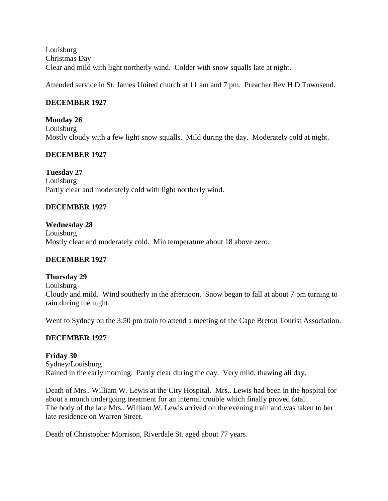Louisburg Christmas Day Clear and mild with light northerly wind. Colder with snow squalls late at night.

Attended service in St. James United church at 11 am and 7 pm. Preacher Rev H D Townsend.

### **DECEMBER 1927**

**Monday 26** Louisburg Mostly cloudy with a few light snow squalls. Mild during the day. Moderately cold at night.

### **DECEMBER 1927**

**Tuesday 27** Louisburg Partly clear and moderately cold with light northerly wind.

### **DECEMBER 1927**

**Wednesday 28** Louisburg Mostly clear and moderately cold. Min temperature about 18 above zero.

### **DECEMBER 1927**

### **Thursday 29**

Louisburg Cloudy and mild. Wind southerly in the afternoon. Snow began to fall at about 7 pm turning to rain during the night.

Went to Sydney on the 3:50 pm train to attend a meeting of the Cape Breton Tourist Association.

### **DECEMBER 1927**

**Friday 30** Sydney/Louisburg Rained in the early morning. Partly clear during the day. Very mild, thawing all day.

Death of Mrs.. William W. Lewis at the City Hospital. Mrs.. Lewis had been in the hospital for about a month undergoing treatment for an internal trouble which finally proved fatal. The body of the late Mrs.. William W. Lewis arrived on the evening train and was taken to her late residence on Warren Street.

Death of Christopher Morrison, Riverdale St. aged about 77 years.